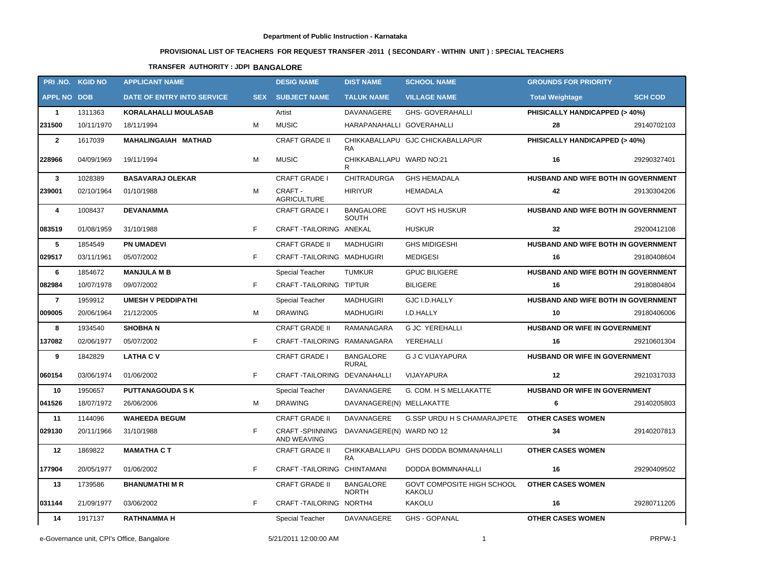# **PROVISIONAL LIST OF TEACHERS FOR REQUEST TRANSFER -2011 ( SECONDARY - WITHIN UNIT ) : SPECIAL TEACHERS**

## **TRANSFER AUTHORITY : JDPI BANGALORE**

|                    | PRI.NO. KGID NO | <b>APPLICANT NAME</b>       |    | <b>DESIG NAME</b>                      | <b>DIST NAME</b>                 | <b>SCHOOL NAME</b>                   | <b>GROUNDS FOR PRIORITY</b>              |                |
|--------------------|-----------------|-----------------------------|----|----------------------------------------|----------------------------------|--------------------------------------|------------------------------------------|----------------|
| <b>APPL NO DOB</b> |                 | DATE OF ENTRY INTO SERVICE  |    | <b>SEX SUBJECT NAME</b>                | <b>TALUK NAME</b>                | <b>VILLAGE NAME</b>                  | <b>Total Weightage</b>                   | <b>SCH COD</b> |
| $\mathbf{1}$       | 1311363         | <b>KORALAHALLI MOULASAB</b> |    | Artist                                 | DAVANAGERE                       | <b>GHS- GOVERAHALLI</b>              | <b>PHISICALLY HANDICAPPED (&gt; 40%)</b> |                |
| 231500             | 10/11/1970      | 18/11/1994                  | M  | <b>MUSIC</b>                           | HARAPANAHALLI GOVERAHALLI        |                                      | 28                                       | 29140702103    |
| $\overline{2}$     | 1617039         | MAHALINGAIAH MATHAD         |    | <b>CRAFT GRADE II</b>                  | <b>RA</b>                        | CHIKKABALLAPU GJC CHICKABALLAPUR     | PHISICALLY HANDICAPPED (> 40%)           |                |
| 228966             | 04/09/1969      | 19/11/1994                  | M  | <b>MUSIC</b>                           | CHIKKABALLAPU WARD NO:21<br>R    |                                      | 16                                       | 29290327401    |
| $\mathbf{3}$       | 1028389         | <b>BASAVARAJ OLEKAR</b>     |    | <b>CRAFT GRADE I</b>                   | <b>CHITRADURGA</b>               | <b>GHS HEMADALA</b>                  | HUSBAND AND WIFE BOTH IN GOVERNMENT      |                |
| 239001             | 02/10/1964      | 01/10/1988                  | M  | CRAFT -<br><b>AGRICULTURE</b>          | <b>HIRIYUR</b>                   | HEMADALA                             | 42                                       | 29130304206    |
| 4                  | 1008437         | <b>DEVANAMMA</b>            |    | <b>CRAFT GRADE I</b>                   | <b>BANGALORE</b><br>SOUTH        | <b>GOVT HS HUSKUR</b>                | HUSBAND AND WIFE BOTH IN GOVERNMENT      |                |
| 083519             | 01/08/1959      | 31/10/1988                  | F. | CRAFT-TAILORING ANEKAL                 |                                  | <b>HUSKUR</b>                        | 32                                       | 29200412108    |
| 5                  | 1854549         | <b>PN UMADEVI</b>           |    | <b>CRAFT GRADE II</b>                  | <b>MADHUGIRI</b>                 | <b>GHS MIDIGESHI</b>                 | HUSBAND AND WIFE BOTH IN GOVERNMENT      |                |
| 029517             | 03/11/1961      | 05/07/2002                  | F. | CRAFT-TAILORING MADHUGIRI              |                                  | <b>MEDIGESI</b>                      | 16                                       | 29180408604    |
| 6                  | 1854672         | <b>MANJULA M B</b>          |    | Special Teacher                        | <b>TUMKUR</b>                    | <b>GPUC BILIGERE</b>                 | HUSBAND AND WIFE BOTH IN GOVERNMENT      |                |
| 082984             | 10/07/1978      | 09/07/2002                  | F  | CRAFT-TAILORING TIPTUR                 |                                  | <b>BILIGERE</b>                      | 16                                       | 29180804804    |
| $\overline{7}$     | 1959912         | <b>UMESH V PEDDIPATHI</b>   |    | Special Teacher                        | <b>MADHUGIRI</b>                 | GJC I.D.HALLY                        | HUSBAND AND WIFE BOTH IN GOVERNMENT      |                |
| 009005             | 20/06/1964      | 21/12/2005                  | м  | <b>DRAWING</b>                         | <b>MADHUGIRI</b>                 | I.D.HALLY                            | 10                                       | 29180406006    |
| 8                  | 1934540         | <b>SHOBHAN</b>              |    | <b>CRAFT GRADE II</b>                  | RAMANAGARA                       | <b>G JC YEREHALLI</b>                | HUSBAND OR WIFE IN GOVERNMENT            |                |
| 137082             | 02/06/1977      | 05/07/2002                  | F. | CRAFT-TAILORING RAMANAGARA             |                                  | YEREHALLI                            | 16                                       | 29210601304    |
| 9                  | 1842829         | <b>LATHA CV</b>             |    | <b>CRAFT GRADE I</b>                   | <b>BANGALORE</b><br><b>RURAL</b> | <b>G J C VIJAYAPURA</b>              | HUSBAND OR WIFE IN GOVERNMENT            |                |
| 060154             | 03/06/1974      | 01/06/2002                  | F. | CRAFT-TAILORING DEVANAHALLI            |                                  | VIJAYAPURA                           | 12                                       | 29210317033    |
| 10                 | 1950657         | <b>PUTTANAGOUDA S K</b>     |    | Special Teacher                        | DAVANAGERE                       | G. COM. H S MELLAKATTE               | HUSBAND OR WIFE IN GOVERNMENT            |                |
| 041526             | 18/07/1972      | 26/06/2006                  | М  | <b>DRAWING</b>                         | DAVANAGERE(N) MELLAKATTE         |                                      | 6                                        | 29140205803    |
| 11                 | 1144096         | <b>WAHEEDA BEGUM</b>        |    | <b>CRAFT GRADE II</b>                  | DAVANAGERE                       | G.SSP URDU H S CHAMARAJPETE          | <b>OTHER CASES WOMEN</b>                 |                |
| 029130             | 20/11/1966      | 31/10/1988                  | F  | <b>CRAFT -SPIINNING</b><br>AND WEAVING | DAVANAGERE(N) WARD NO 12         |                                      | 34                                       | 29140207813    |
| 12                 | 1869822         | <b>MAMATHA C T</b>          |    | <b>CRAFT GRADE II</b>                  | <b>RA</b>                        | CHIKKABALLAPU GHS DODDA BOMMANAHALLI | <b>OTHER CASES WOMEN</b>                 |                |
| 177904             | 20/05/1977      | 01/06/2002                  | F. | CRAFT-TAILORING CHINTAMANI             |                                  | DODDA BOMMNAHALLI                    | 16                                       | 29290409502    |
| 13                 | 1739586         | <b>BHANUMATHIMR</b>         |    | <b>CRAFT GRADE II</b>                  | <b>BANGALORE</b><br><b>NORTH</b> | GOVT COMPOSITE HIGH SCHOOL<br>KAKOLU | <b>OTHER CASES WOMEN</b>                 |                |
| 031144             | 21/09/1977      | 03/06/2002                  | F  | CRAFT TAILORING NORTH4                 |                                  | <b>KAKOLU</b>                        | 16                                       | 29280711205    |
| 14                 | 1917137         | <b>RATHNAMMA H</b>          |    | Special Teacher                        | DAVANAGERE                       | <b>GHS - GOPANAL</b>                 | <b>OTHER CASES WOMEN</b>                 |                |

e-Governance unit, CPI's Office, Bangalore and the state of the state of the state of the state of the state of the state of the state of the state of the state of the state of the state of the state of the state of the st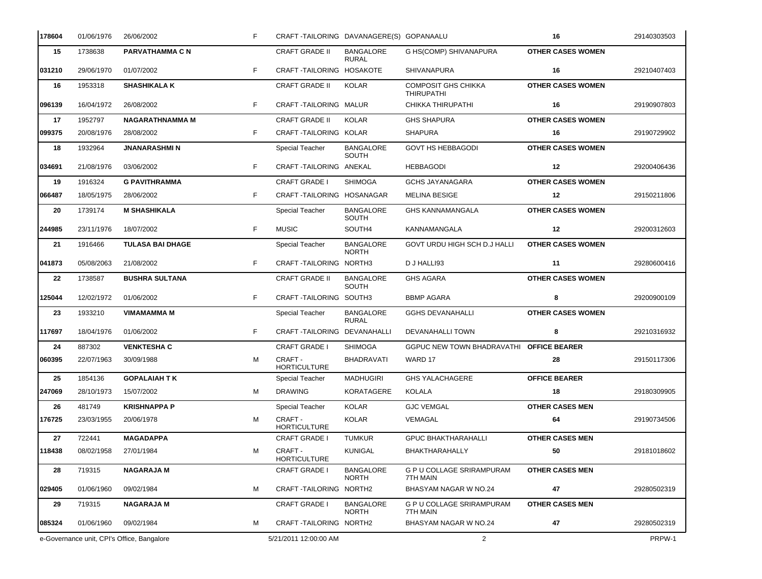| 178604 | 01/06/1976                                 | 26/06/2002              | F  | CRAFT-TAILORING DAVANAGERE(S) GOPANAALU |                                  |                                                 | 16                       | 29140303503 |
|--------|--------------------------------------------|-------------------------|----|-----------------------------------------|----------------------------------|-------------------------------------------------|--------------------------|-------------|
| 15     | 1738638                                    | PARVATHAMMA C N         |    | <b>CRAFT GRADE II</b>                   | <b>BANGALORE</b><br><b>RURAL</b> | G HS(COMP) SHIVANAPURA                          | <b>OTHER CASES WOMEN</b> |             |
| 031210 | 29/06/1970                                 | 01/07/2002              | F  | CRAFT-TAILORING HOSAKOTE                |                                  | <b>SHIVANAPURA</b>                              | 16                       | 29210407403 |
| 16     | 1953318                                    | <b>SHASHIKALA K</b>     |    | <b>CRAFT GRADE II</b>                   | <b>KOLAR</b>                     | <b>COMPOSIT GHS CHIKKA</b><br><b>THIRUPATHI</b> | <b>OTHER CASES WOMEN</b> |             |
| 096139 | 16/04/1972                                 | 26/08/2002              | F  | CRAFT-TAILORING MALUR                   |                                  | CHIKKA THIRUPATHI                               | 16                       | 29190907803 |
| 17     | 1952797                                    | <b>NAGARATHNAMMA M</b>  |    | <b>CRAFT GRADE II</b>                   | <b>KOLAR</b>                     | <b>GHS SHAPURA</b>                              | <b>OTHER CASES WOMEN</b> |             |
| 099375 | 20/08/1976                                 | 28/08/2002              | F  | CRAFT-TAILORING KOLAR                   |                                  | <b>SHAPURA</b>                                  | 16                       | 29190729902 |
| 18     | 1932964                                    | <b>JNANARASHMIN</b>     |    | <b>Special Teacher</b>                  | <b>BANGALORE</b><br><b>SOUTH</b> | <b>GOVT HS HEBBAGODI</b>                        | <b>OTHER CASES WOMEN</b> |             |
| 034691 | 21/08/1976                                 | 03/06/2002              | F  | CRAFT-TAILORING ANEKAL                  |                                  | <b>HEBBAGODI</b>                                | $12 \,$                  | 29200406436 |
| 19     | 1916324                                    | <b>G PAVITHRAMMA</b>    |    | <b>CRAFT GRADE I</b>                    | <b>SHIMOGA</b>                   | <b>GCHS JAYANAGARA</b>                          | <b>OTHER CASES WOMEN</b> |             |
| 066487 | 18/05/1975                                 | 28/06/2002              | F  | CRAFT-TAILORING HOSANAGAR               |                                  | <b>MELINA BESIGE</b>                            | 12                       | 29150211806 |
| 20     | 1739174                                    | <b>M SHASHIKALA</b>     |    | <b>Special Teacher</b>                  | <b>BANGALORE</b><br>SOUTH        | <b>GHS KANNAMANGALA</b>                         | <b>OTHER CASES WOMEN</b> |             |
| 244985 | 23/11/1976                                 | 18/07/2002              | F  | <b>MUSIC</b>                            | SOUTH4                           | <b>KANNAMANGALA</b>                             | $12 \,$                  | 29200312603 |
| 21     | 1916466                                    | <b>TULASA BAI DHAGE</b> |    | <b>Special Teacher</b>                  | <b>BANGALORE</b><br><b>NORTH</b> | GOVT URDU HIGH SCH D.J HALLI                    | <b>OTHER CASES WOMEN</b> |             |
| 041873 | 05/08/2063                                 | 21/08/2002              | F. | CRAFT-TAILORING NORTH3                  |                                  | D J HALLI93                                     | 11                       | 29280600416 |
| 22     | 1738587                                    | <b>BUSHRA SULTANA</b>   |    | <b>CRAFT GRADE II</b>                   | <b>BANGALORE</b><br>SOUTH        | <b>GHS AGARA</b>                                | <b>OTHER CASES WOMEN</b> |             |
| 125044 | 12/02/1972                                 | 01/06/2002              | F  | CRAFT-TAILORING SOUTH3                  |                                  | <b>BBMP AGARA</b>                               | 8                        | 29200900109 |
| 23     | 1933210                                    | <b>VIMAMAMMA M</b>      |    | <b>Special Teacher</b>                  | <b>BANGALORE</b><br><b>RURAL</b> | <b>GGHS DEVANAHALLI</b>                         | <b>OTHER CASES WOMEN</b> |             |
| 117697 | 18/04/1976                                 | 01/06/2002              | F  | CRAFT-TAILORING DEVANAHALLI             |                                  | DEVANAHALLI TOWN                                | 8                        | 29210316932 |
| 24     | 887302                                     | <b>VENKTESHA C</b>      |    | <b>CRAFT GRADE I</b>                    | <b>SHIMOGA</b>                   | <b>GGPUC NEW TOWN BHADRAVATHI</b>               | <b>OFFICE BEARER</b>     |             |
| 060395 | 22/07/1963                                 | 30/09/1988              | М  | CRAFT -<br><b>HORTICULTURE</b>          | <b>BHADRAVATI</b>                | WARD 17                                         | 28                       | 29150117306 |
| 25     | 1854136                                    | <b>GOPALAIAH TK</b>     |    | Special Teacher                         | MADHUGIRI                        | <b>GHS YALACHAGERE</b>                          | <b>OFFICE BEARER</b>     |             |
| 247069 | 28/10/1973                                 | 15/07/2002              | м  | <b>DRAWING</b>                          | KORATAGERE                       | KOLALA                                          | 18                       | 29180309905 |
| 26     | 481749                                     | <b>KRISHNAPPA P</b>     |    | <b>Special Teacher</b>                  | KOLAR                            | <b>GJC VEMGAL</b>                               | <b>OTHER CASES MEN</b>   |             |
| 176725 | 23/03/1955                                 | 20/06/1978              | М  | CRAFT -<br><b>HORTICULTURE</b>          | KOLAR                            | VEMAGAL                                         | 64                       | 29190734506 |
| 27     | 722441                                     | <b>MAGADAPPA</b>        |    | <b>CRAFT GRADE I</b>                    | TUMKUR                           | <b>GPUC BHAKTHARAHALLI</b>                      | <b>OTHER CASES MEN</b>   |             |
| 118438 | 08/02/1958                                 | 27/01/1984              | М  | CRAFT -<br><b>HORTICULTURE</b>          | <b>KUNIGAL</b>                   | BHAKTHARAHALLY                                  | 50                       | 29181018602 |
| 28     | 719315                                     | <b>NAGARAJA M</b>       |    | <b>CRAFT GRADE I</b>                    | <b>BANGALORE</b><br><b>NORTH</b> | G P U COLLAGE SRIRAMPURAM<br>7TH MAIN           | <b>OTHER CASES MEN</b>   |             |
| 029405 | 01/06/1960                                 | 09/02/1984              | м  | CRAFT-TAILORING NORTH2                  |                                  | BHASYAM NAGAR W NO.24                           | 47                       | 29280502319 |
| 29     | 719315                                     | <b>NAGARAJA M</b>       |    | <b>CRAFT GRADE I</b>                    | <b>BANGALORE</b><br><b>NORTH</b> | <b>G P U COLLAGE SRIRAMPURAM</b><br>7TH MAIN    | <b>OTHER CASES MEN</b>   |             |
| 085324 | 01/06/1960                                 | 09/02/1984              | м  | CRAFT-TAILORING NORTH2                  |                                  | BHASYAM NAGAR W NO.24                           | 47                       | 29280502319 |
|        | e-Governance unit, CPI's Office, Bangalore |                         |    | 5/21/2011 12:00:00 AM                   |                                  | $\overline{2}$                                  |                          | PRPW-1      |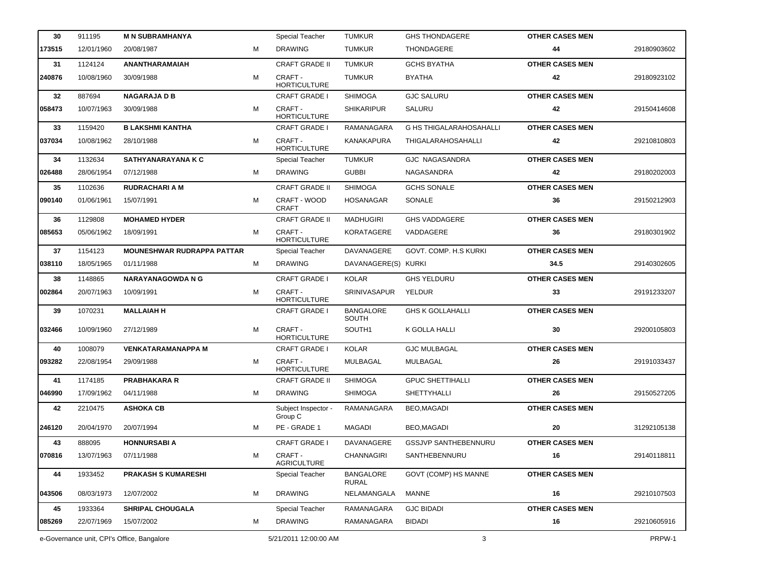| 30     | 911195                                     | <b>M N SUBRAMHANYA</b>            |   | <b>Special Teacher</b>         | <b>TUMKUR</b>                    | <b>GHS THONDAGERE</b>          | <b>OTHER CASES MEN</b> |             |
|--------|--------------------------------------------|-----------------------------------|---|--------------------------------|----------------------------------|--------------------------------|------------------------|-------------|
| 173515 | 12/01/1960                                 | 20/08/1987                        | м | <b>DRAWING</b>                 | <b>TUMKUR</b>                    | THONDAGERE                     | 44                     | 29180903602 |
| 31     | 1124124                                    | ANANTHARAMAIAH                    |   | <b>CRAFT GRADE II</b>          | <b>TUMKUR</b>                    | <b>GCHS BYATHA</b>             | <b>OTHER CASES MEN</b> |             |
| 240876 | 10/08/1960                                 | 30/09/1988                        | м | CRAFT -<br><b>HORTICULTURE</b> | <b>TUMKUR</b>                    | <b>BYATHA</b>                  | 42                     | 29180923102 |
| 32     | 887694                                     | <b>NAGARAJA D B</b>               |   | <b>CRAFT GRADE I</b>           | <b>SHIMOGA</b>                   | <b>GJC SALURU</b>              | <b>OTHER CASES MEN</b> |             |
| 058473 | 10/07/1963                                 | 30/09/1988                        | М | CRAFT -<br><b>HORTICULTURE</b> | <b>SHIKARIPUR</b>                | SALURU                         | 42                     | 29150414608 |
| 33     | 1159420                                    | <b>B LAKSHMI KANTHA</b>           |   | <b>CRAFT GRADE I</b>           | <b>RAMANAGARA</b>                | <b>G HS THIGALARAHOSAHALLI</b> | <b>OTHER CASES MEN</b> |             |
| 037034 | 10/08/1962                                 | 28/10/1988                        | м | CRAFT -<br><b>HORTICULTURE</b> | <b>KANAKAPURA</b>                | <b>THIGALARAHOSAHALLI</b>      | 42                     | 29210810803 |
| 34     | 1132634                                    | SATHYANARAYANA K C                |   | <b>Special Teacher</b>         | <b>TUMKUR</b>                    | <b>GJC NAGASANDRA</b>          | <b>OTHER CASES MEN</b> |             |
| 026488 | 28/06/1954                                 | 07/12/1988                        | м | <b>DRAWING</b>                 | <b>GUBBI</b>                     | NAGASANDRA                     | 42                     | 29180202003 |
| 35     | 1102636                                    | <b>RUDRACHARI A M</b>             |   | <b>CRAFT GRADE II</b>          | <b>SHIMOGA</b>                   | <b>GCHS SONALE</b>             | <b>OTHER CASES MEN</b> |             |
| 090140 | 01/06/1961                                 | 15/07/1991                        | М | CRAFT - WOOD<br><b>CRAFT</b>   | <b>HOSANAGAR</b>                 | SONALE                         | 36                     | 29150212903 |
| 36     | 1129808                                    | <b>MOHAMED HYDER</b>              |   | <b>CRAFT GRADE II</b>          | <b>MADHUGIRI</b>                 | <b>GHS VADDAGERE</b>           | <b>OTHER CASES MEN</b> |             |
| 085653 | 05/06/1962                                 | 18/09/1991                        | м | CRAFT-<br><b>HORTICULTURE</b>  | KORATAGERE                       | VADDAGERE                      | 36                     | 29180301902 |
| 37     | 1154123                                    | <b>MOUNESHWAR RUDRAPPA PATTAR</b> |   | <b>Special Teacher</b>         | DAVANAGERE                       | GOVT. COMP. H.S KURKI          | <b>OTHER CASES MEN</b> |             |
| 038110 | 18/05/1965                                 | 01/11/1988                        | м | <b>DRAWING</b>                 | DAVANAGERE(S) KURKI              |                                | 34.5                   | 29140302605 |
| 38     | 1148865                                    | <b>NARAYANAGOWDA N G</b>          |   | <b>CRAFT GRADE I</b>           | <b>KOLAR</b>                     | <b>GHS YELDURU</b>             | <b>OTHER CASES MEN</b> |             |
| 002864 | 20/07/1963                                 | 10/09/1991                        | М | CRAFT -<br><b>HORTICULTURE</b> | <b>SRINIVASAPUR</b>              | YELDUR                         | 33                     | 29191233207 |
| 39     | 1070231                                    | <b>MALLAIAH H</b>                 |   | <b>CRAFT GRADE I</b>           | <b>BANGALORE</b><br>SOUTH        | <b>GHS K GOLLAHALLI</b>        | <b>OTHER CASES MEN</b> |             |
| 032466 | 10/09/1960                                 | 27/12/1989                        | М | CRAFT -<br><b>HORTICULTURE</b> | SOUTH <sub>1</sub>               | K GOLLA HALLI                  | 30                     | 29200105803 |
| 40     | 1008079                                    | <b>VENKATARAMANAPPA M</b>         |   | <b>CRAFT GRADE I</b>           | <b>KOLAR</b>                     | <b>GJC MULBAGAL</b>            | <b>OTHER CASES MEN</b> |             |
| 093282 | 22/08/1954                                 | 29/09/1988                        | М | CRAFT -<br><b>HORTICULTURE</b> | MULBAGAL                         | MULBAGAL                       | 26                     | 29191033437 |
| 41     | 1174185                                    | <b>PRABHAKARA R</b>               |   | <b>CRAFT GRADE II</b>          | <b>SHIMOGA</b>                   | <b>GPUC SHETTIHALLI</b>        | <b>OTHER CASES MEN</b> |             |
| 046990 | 17/09/1962                                 | 04/11/1988                        | М | <b>DRAWING</b>                 | <b>SHIMOGA</b>                   | <b>SHETTYHALLI</b>             | 26                     | 29150527205 |
| 42     | 2210475                                    | <b>ASHOKA CB</b>                  |   | Subject Inspector -<br>Group C | RAMANAGARA                       | BEO, MAGADI                    | <b>OTHER CASES MEN</b> |             |
| 246120 | 20/04/1970                                 | 20/07/1994                        | м | PE - GRADE 1                   | MAGADI                           | BEO,MAGADI                     | 20                     | 31292105138 |
| 43     | 888095                                     | <b>HONNURSABI A</b>               |   | <b>CRAFT GRADE I</b>           | DAVANAGERE                       | <b>GSSJVP SANTHEBENNURU</b>    | <b>OTHER CASES MEN</b> |             |
| 070816 | 13/07/1963                                 | 07/11/1988                        | М | CRAFT -<br><b>AGRICULTURE</b>  | <b>CHANNAGIRI</b>                | SANTHEBENNURU                  | 16                     | 29140118811 |
| 44     | 1933452                                    | <b>PRAKASH S KUMARESHI</b>        |   | <b>Special Teacher</b>         | <b>BANGALORE</b><br><b>RURAL</b> | GOVT (COMP) HS MANNE           | <b>OTHER CASES MEN</b> |             |
| 043506 | 08/03/1973                                 | 12/07/2002                        | м | <b>DRAWING</b>                 | NELAMANGALA                      | MANNE                          | 16                     | 29210107503 |
| 45     | 1933364                                    | <b>SHRIPAL CHOUGALA</b>           |   | <b>Special Teacher</b>         | RAMANAGARA                       | <b>GJC BIDADI</b>              | <b>OTHER CASES MEN</b> |             |
| 085269 | 22/07/1969                                 | 15/07/2002                        | М | <b>DRAWING</b>                 | RAMANAGARA                       | <b>BIDADI</b>                  | 16                     | 29210605916 |
|        | e-Governance unit, CPI's Office, Bangalore |                                   |   | 5/21/2011 12:00:00 AM          |                                  | 3                              |                        | PRPW-1      |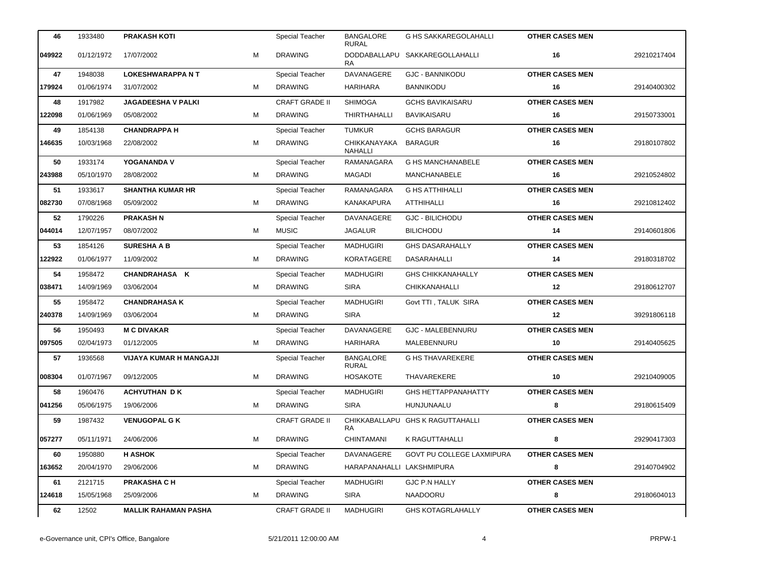| 46     | 1933480    | <b>PRAKASH KOTI</b>            |   | Special Teacher        | <b>BANGALORE</b><br><b>RURAL</b> | <b>G HS SAKKAREGOLAHALLI</b>     | <b>OTHER CASES MEN</b> |             |
|--------|------------|--------------------------------|---|------------------------|----------------------------------|----------------------------------|------------------------|-------------|
| 049922 | 01/12/1972 | 17/07/2002                     | м | <b>DRAWING</b>         | <b>RA</b>                        | DODDABALLAPU SAKKAREGOLLAHALLI   | 16                     | 29210217404 |
| 47     | 1948038    | <b>LOKESHWARAPPANT</b>         |   | <b>Special Teacher</b> | DAVANAGERE                       | <b>GJC - BANNIKODU</b>           | <b>OTHER CASES MEN</b> |             |
| 179924 | 01/06/1974 | 31/07/2002                     | м | <b>DRAWING</b>         | <b>HARIHARA</b>                  | <b>BANNIKODU</b>                 | 16                     | 29140400302 |
| 48     | 1917982    | JAGADEESHA V PALKI             |   | <b>CRAFT GRADE II</b>  | <b>SHIMOGA</b>                   | <b>GCHS BAVIKAISARU</b>          | <b>OTHER CASES MEN</b> |             |
| 122098 | 01/06/1969 | 05/08/2002                     | м | <b>DRAWING</b>         | THIRTHAHALLI                     | BAVIKAISARU                      | 16                     | 29150733001 |
| 49     | 1854138    | <b>CHANDRAPPA H</b>            |   | <b>Special Teacher</b> | <b>TUMKUR</b>                    | <b>GCHS BARAGUR</b>              | <b>OTHER CASES MEN</b> |             |
| 146635 | 10/03/1968 | 22/08/2002                     | м | <b>DRAWING</b>         | CHIKKANAYAKA<br><b>NAHALLI</b>   | <b>BARAGUR</b>                   | 16                     | 29180107802 |
| 50     | 1933174    | YOGANANDA V                    |   | <b>Special Teacher</b> | RAMANAGARA                       | <b>G HS MANCHANABELE</b>         | <b>OTHER CASES MEN</b> |             |
| 243988 | 05/10/1970 | 28/08/2002                     | M | <b>DRAWING</b>         | MAGADI                           | MANCHANABELE                     | 16                     | 29210524802 |
| 51     | 1933617    | <b>SHANTHA KUMAR HR</b>        |   | <b>Special Teacher</b> | RAMANAGARA                       | <b>G HS ATTHIHALLI</b>           | <b>OTHER CASES MEN</b> |             |
| 082730 | 07/08/1968 | 05/09/2002                     | м | <b>DRAWING</b>         | <b>KANAKAPURA</b>                | ATTHIHALLI                       | 16                     | 29210812402 |
| 52     | 1790226    | <b>PRAKASH N</b>               |   | <b>Special Teacher</b> | DAVANAGERE                       | <b>GJC - BILICHODU</b>           | <b>OTHER CASES MEN</b> |             |
| 044014 | 12/07/1957 | 08/07/2002                     | М | <b>MUSIC</b>           | JAGALUR                          | <b>BILICHODU</b>                 | 14                     | 29140601806 |
| 53     | 1854126    | <b>SURESHA A B</b>             |   | Special Teacher        | <b>MADHUGIRI</b>                 | <b>GHS DASARAHALLY</b>           | <b>OTHER CASES MEN</b> |             |
| 122922 | 01/06/1977 | 11/09/2002                     | м | <b>DRAWING</b>         | <b>KORATAGERE</b>                | <b>DASARAHALLI</b>               | 14                     | 29180318702 |
| 54     | 1958472    | CHANDRAHASA K                  |   | <b>Special Teacher</b> | <b>MADHUGIRI</b>                 | <b>GHS CHIKKANAHALLY</b>         | <b>OTHER CASES MEN</b> |             |
| 038471 | 14/09/1969 | 03/06/2004                     | M | <b>DRAWING</b>         | <b>SIRA</b>                      | CHIKKANAHALLI                    | 12                     | 29180612707 |
| 55     | 1958472    | <b>CHANDRAHASA K</b>           |   | <b>Special Teacher</b> | MADHUGIRI                        | Govt TTI, TALUK SIRA             | <b>OTHER CASES MEN</b> |             |
| 240378 | 14/09/1969 | 03/06/2004                     | м | <b>DRAWING</b>         | <b>SIRA</b>                      |                                  | 12                     | 39291806118 |
| 56     | 1950493    | <b>M C DIVAKAR</b>             |   | <b>Special Teacher</b> | DAVANAGERE                       | <b>GJC - MALEBENNURU</b>         | <b>OTHER CASES MEN</b> |             |
| 097505 | 02/04/1973 | 01/12/2005                     | м | <b>DRAWING</b>         | <b>HARIHARA</b>                  | MALEBENNURU                      | 10                     | 29140405625 |
| 57     | 1936568    | <b>VIJAYA KUMAR H MANGAJJI</b> |   | Special Teacher        | <b>BANGALORE</b><br><b>RURAL</b> | <b>G HS THAVAREKERE</b>          | <b>OTHER CASES MEN</b> |             |
| 008304 | 01/07/1967 | 09/12/2005                     | м | <b>DRAWING</b>         | <b>HOSAKOTE</b>                  | THAVAREKERE                      | 10                     | 29210409005 |
| 58     | 1960476    | <b>ACHYUTHAN DK</b>            |   | <b>Special Teacher</b> | <b>MADHUGIRI</b>                 | <b>GHS HETTAPPANAHATTY</b>       | <b>OTHER CASES MEN</b> |             |
| 041256 | 05/06/1975 | 19/06/2006                     | м | <b>DRAWING</b>         | <b>SIRA</b>                      | HUNJUNAALU                       | 8                      | 29180615409 |
| 59     | 1987432    | <b>VENUGOPAL G K</b>           |   | <b>CRAFT GRADE II</b>  | RA.                              | CHIKKABALLAPU GHS K RAGUTTAHALLI | <b>OTHER CASES MEN</b> |             |
| 057277 | 05/11/1971 | 24/06/2006                     | м | <b>DRAWING</b>         | <b>CHINTAMANI</b>                | K RAGUTTAHALLI                   | 8                      | 29290417303 |
| 60     | 1950880    | <b>H ASHOK</b>                 |   | <b>Special Teacher</b> | DAVANAGERE                       | <b>GOVT PU COLLEGE LAXMIPURA</b> | <b>OTHER CASES MEN</b> |             |
| 163652 | 20/04/1970 | 29/06/2006                     | М | <b>DRAWING</b>         | HARAPANAHALLI LAKSHMIPURA        |                                  | 8                      | 29140704902 |
| 61     | 2121715    | <b>PRAKASHA C H</b>            |   | <b>Special Teacher</b> | MADHUGIRI                        | GJC P.N HALLY                    | <b>OTHER CASES MEN</b> |             |
| 124618 | 15/05/1968 | 25/09/2006                     | М | <b>DRAWING</b>         | <b>SIRA</b>                      | NAADOORU                         | 8                      | 29180604013 |
| 62     | 12502      | <b>MALLIK RAHAMAN PASHA</b>    |   | <b>CRAFT GRADE II</b>  | <b>MADHUGIRI</b>                 | <b>GHS KOTAGRLAHALLY</b>         | <b>OTHER CASES MEN</b> |             |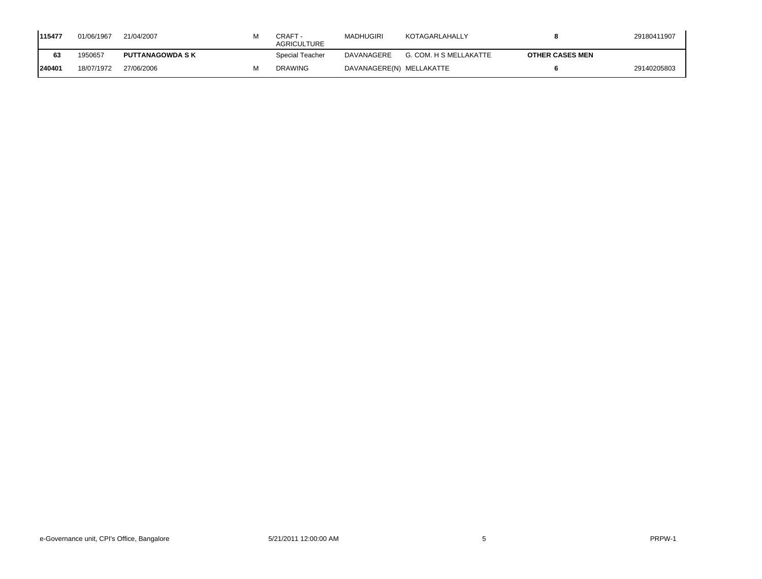| 1115477 | 01/06/1967 | 21/04/2007              | CRAFT -<br><b>AGRICULTURE</b> | MADHUGIRI                | KOTAGARLAHALLY         |                        | 29180411907 |
|---------|------------|-------------------------|-------------------------------|--------------------------|------------------------|------------------------|-------------|
| 63      | 1950657    | <b>PUTTANAGOWDA S K</b> | Special Teacher               | DAVANAGERE               | G. COM. H S MELLAKATTE | <b>OTHER CASES MEN</b> |             |
| 240401  | 18/07/1972 | 27/06/2006              | <b>DRAWING</b>                | DAVANAGERE(N) MELLAKATTE |                        |                        | 29140205803 |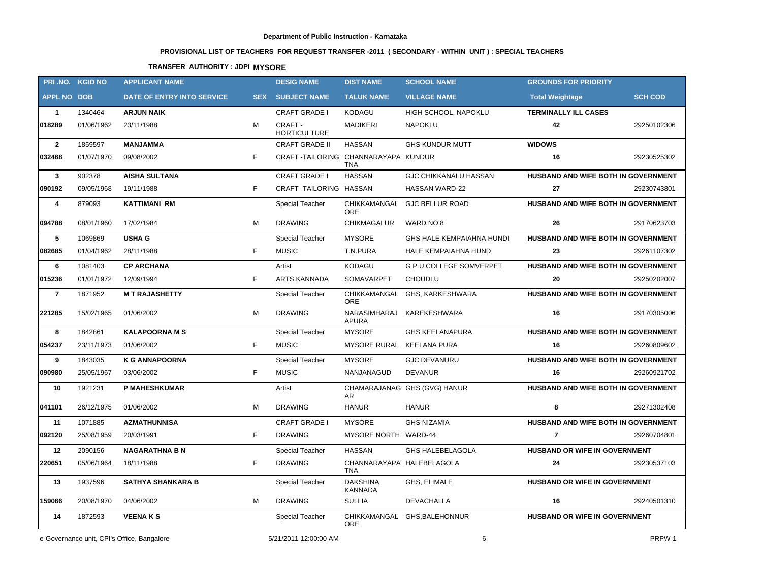# **PROVISIONAL LIST OF TEACHERS FOR REQUEST TRANSFER -2011 ( SECONDARY - WITHIN UNIT ) : SPECIAL TEACHERS**

## **TRANSFER AUTHORITY : JDPI MYSORE**

|                    | PRI.NO. KGID NO                            | <b>APPLICANT NAME</b>      |            | <b>DESIG NAME</b>                   | <b>DIST NAME</b>                 | <b>SCHOOL NAME</b>             | <b>GROUNDS FOR PRIORITY</b>         |                |
|--------------------|--------------------------------------------|----------------------------|------------|-------------------------------------|----------------------------------|--------------------------------|-------------------------------------|----------------|
| <b>APPL NO DOB</b> |                                            | DATE OF ENTRY INTO SERVICE | <b>SEX</b> | <b>SUBJECT NAME</b>                 | <b>TALUK NAME</b>                | <b>VILLAGE NAME</b>            | <b>Total Weightage</b>              | <b>SCH COD</b> |
| $\mathbf{1}$       | 1340464                                    | <b>ARJUN NAIK</b>          |            | <b>CRAFT GRADE I</b>                | <b>KODAGU</b>                    | HIGH SCHOOL, NAPOKLU           | <b>TERMINALLY ILL CASES</b>         |                |
| 018289             | 01/06/1962                                 | 23/11/1988                 | M          | CRAFT -<br><b>HORTICULTURE</b>      | <b>MADIKERI</b>                  | <b>NAPOKLU</b>                 | 42                                  | 29250102306    |
| $\mathbf{2}$       | 1859597                                    | <b>MANJAMMA</b>            |            | <b>CRAFT GRADE II</b>               | <b>HASSAN</b>                    | <b>GHS KUNDUR MUTT</b>         | <b>WIDOWS</b>                       |                |
| 032468             | 01/07/1970                                 | 09/08/2002                 | F.         | CRAFT-TAILORING CHANNARAYAPA KUNDUR | <b>TNA</b>                       |                                | 16                                  | 29230525302    |
| $\mathbf{3}$       | 902378                                     | <b>AISHA SULTANA</b>       |            | <b>CRAFT GRADE I</b>                | <b>HASSAN</b>                    | <b>GJC CHIKKANALU HASSAN</b>   | HUSBAND AND WIFE BOTH IN GOVERNMENT |                |
| 090192             | 09/05/1968                                 | 19/11/1988                 | F          | CRAFT-TAILORING HASSAN              |                                  | <b>HASSAN WARD-22</b>          | 27                                  | 29230743801    |
| 4                  | 879093                                     | <b>KATTIMANI RM</b>        |            | Special Teacher                     | <b>ORE</b>                       | CHIKKAMANGAL GJC BELLUR ROAD   | HUSBAND AND WIFE BOTH IN GOVERNMENT |                |
| 094788             | 08/01/1960                                 | 17/02/1984                 | M          | <b>DRAWING</b>                      | CHIKMAGALUR                      | WARD NO.8                      | 26                                  | 29170623703    |
| 5                  | 1069869                                    | <b>USHA G</b>              |            | Special Teacher                     | <b>MYSORE</b>                    | GHS HALE KEMPAIAHNA HUNDI      | HUSBAND AND WIFE BOTH IN GOVERNMENT |                |
| 082685             | 01/04/1962                                 | 28/11/1988                 | F.         | <b>MUSIC</b>                        | T.N.PURA                         | <b>HALE KEMPAIAHNA HUND</b>    | 23                                  | 29261107302    |
| 6                  | 1081403                                    | <b>CP ARCHANA</b>          |            | Artist                              | <b>KODAGU</b>                    | <b>G P U COLLEGE SOMVERPET</b> | HUSBAND AND WIFE BOTH IN GOVERNMENT |                |
| 015236             | 01/01/1972                                 | 12/09/1994                 | F          | ARTS KANNADA                        | SOMAVARPET                       | <b>CHOUDLU</b>                 | 20                                  | 29250202007    |
| $\overline{7}$     | 1871952                                    | <b>MT RAJASHETTY</b>       |            | Special Teacher                     | <b>ORE</b>                       | CHIKKAMANGAL GHS, KARKESHWARA  | HUSBAND AND WIFE BOTH IN GOVERNMENT |                |
| 221285             | 15/02/1965                                 | 01/06/2002                 | M          | <b>DRAWING</b>                      | NARASIMHARAJ<br><b>APURA</b>     | KAREKESHWARA                   | 16                                  | 29170305006    |
| 8                  | 1842861                                    | <b>KALAPOORNA M S</b>      |            | Special Teacher                     | <b>MYSORE</b>                    | <b>GHS KEELANAPURA</b>         | HUSBAND AND WIFE BOTH IN GOVERNMENT |                |
| 054237             | 23/11/1973                                 | 01/06/2002                 | F          | <b>MUSIC</b>                        | MYSORE RURAL KEELANA PURA        |                                | 16                                  | 29260809602    |
| 9                  | 1843035                                    | <b>K G ANNAPOORNA</b>      |            | Special Teacher                     | <b>MYSORE</b>                    | <b>GJC DEVANURU</b>            | HUSBAND AND WIFE BOTH IN GOVERNMENT |                |
| 090980             | 25/05/1967                                 | 03/06/2002                 | F.         | <b>MUSIC</b>                        | NANJANAGUD                       | <b>DEVANUR</b>                 | 16                                  | 29260921702    |
| 10                 | 1921231                                    | <b>P MAHESHKUMAR</b>       |            | Artist                              | AR.                              | CHAMARAJANAG GHS (GVG) HANUR   | HUSBAND AND WIFE BOTH IN GOVERNMENT |                |
| 041101             | 26/12/1975                                 | 01/06/2002                 | м          | <b>DRAWING</b>                      | <b>HANUR</b>                     | <b>HANUR</b>                   | 8                                   | 29271302408    |
| 11                 | 1071885                                    | <b>AZMATHUNNISA</b>        |            | <b>CRAFT GRADE I</b>                | <b>MYSORE</b>                    | <b>GHS NIZAMIA</b>             | HUSBAND AND WIFE BOTH IN GOVERNMENT |                |
| 092120             | 25/08/1959                                 | 20/03/1991                 | F.         | <b>DRAWING</b>                      | MYSORE NORTH WARD-44             |                                | $\overline{7}$                      | 29260704801    |
| 12                 | 2090156                                    | <b>NAGARATHNA B N</b>      |            | Special Teacher                     | <b>HASSAN</b>                    | <b>GHS HALEBELAGOLA</b>        | HUSBAND OR WIFE IN GOVERNMENT       |                |
| 220651             | 05/06/1964                                 | 18/11/1988                 | F          | <b>DRAWING</b>                      | CHANNARAYAPA HALEBELAGOLA<br>TNA |                                | 24                                  | 29230537103    |
| 13                 | 1937596                                    | <b>SATHYA SHANKARA B</b>   |            | Special Teacher                     | <b>DAKSHINA</b><br>KANNADA       | GHS, ELIMALE                   | HUSBAND OR WIFE IN GOVERNMENT       |                |
| 159066             | 20/08/1970                                 | 04/06/2002                 | м          | <b>DRAWING</b>                      | <b>SULLIA</b>                    | DEVACHALLA                     | 16                                  | 29240501310    |
| 14                 | 1872593                                    | <b>VEENAKS</b>             |            | <b>Special Teacher</b>              | <b>ORE</b>                       | CHIKKAMANGAL GHS, BALEHONNUR   | HUSBAND OR WIFE IN GOVERNMENT       |                |
|                    | e-Governance unit, CPI's Office, Bangalore |                            |            | 5/21/2011 12:00:00 AM               |                                  | 6                              |                                     | PRPW-1         |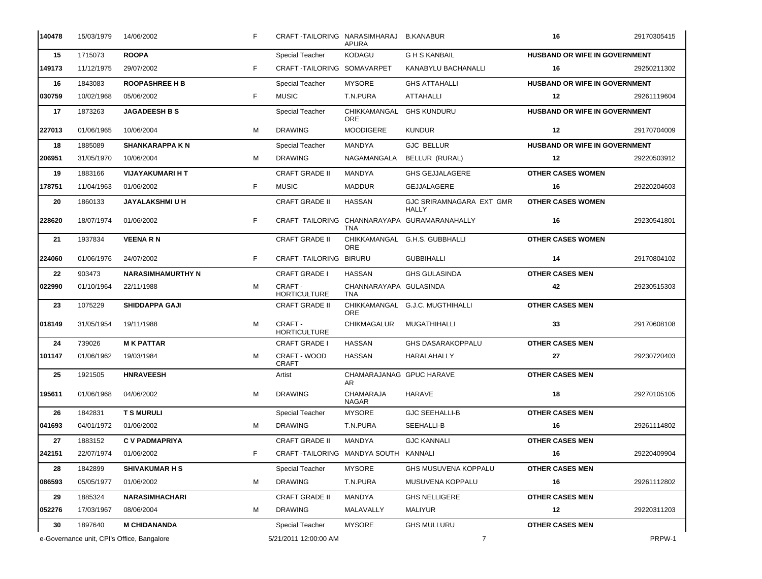| 140478  | 15/03/1979                                 | 14/06/2002               | F. | CRAFT-TAILORING NARASIMHARAJ         | <b>APURA</b>                           | <b>B.KANABUR</b>                                | 16                                   | 29170305415 |
|---------|--------------------------------------------|--------------------------|----|--------------------------------------|----------------------------------------|-------------------------------------------------|--------------------------------------|-------------|
| 15      | 1715073                                    | <b>ROOPA</b>             |    | Special Teacher                      | <b>KODAGU</b>                          | <b>GHS KANBAIL</b>                              | <b>HUSBAND OR WIFE IN GOVERNMENT</b> |             |
| 149173  | 11/12/1975                                 | 29/07/2002               | F. | CRAFT-TAILORING SOMAVARPET           |                                        | KANABYLU BACHANALLI                             | 16                                   | 29250211302 |
| 16      | 1843083                                    | <b>ROOPASHREE H B</b>    |    | Special Teacher                      | <b>MYSORE</b>                          | <b>GHS ATTAHALLI</b>                            | <b>HUSBAND OR WIFE IN GOVERNMENT</b> |             |
| 030759  | 10/02/1968                                 | 05/06/2002               | F. | <b>MUSIC</b>                         | T.N.PURA                               | ATTAHALLI                                       | $12 \,$                              | 29261119604 |
| 17      | 1873263                                    | <b>JAGADEESH B S</b>     |    | Special Teacher                      | CHIKKAMANGAL GHS KUNDURU<br><b>ORE</b> |                                                 | HUSBAND OR WIFE IN GOVERNMENT        |             |
| 227013  | 01/06/1965                                 | 10/06/2004               | м  | <b>DRAWING</b>                       | <b>MOODIGERE</b>                       | <b>KUNDUR</b>                                   | $12 \,$                              | 29170704009 |
| 18      | 1885089                                    | <b>SHANKARAPPA KN</b>    |    | Special Teacher                      | MANDYA                                 | <b>GJC BELLUR</b>                               | HUSBAND OR WIFE IN GOVERNMENT        |             |
| 206951  | 31/05/1970                                 | 10/06/2004               | м  | <b>DRAWING</b>                       | NAGAMANGALA                            | BELLUR (RURAL)                                  | 12                                   | 29220503912 |
| 19      | 1883166                                    | VIJAYAKUMARI H T         |    | <b>CRAFT GRADE II</b>                | MANDYA                                 | <b>GHS GEJJALAGERE</b>                          | <b>OTHER CASES WOMEN</b>             |             |
| 178751  | 11/04/1963                                 | 01/06/2002               | F. | <b>MUSIC</b>                         | <b>MADDUR</b>                          | GEJJALAGERE                                     | 16                                   | 29220204603 |
| 20      | 1860133                                    | <b>JAYALAKSHMIUH</b>     |    | <b>CRAFT GRADE II</b>                | <b>HASSAN</b>                          | <b>GJC SRIRAMNAGARA EXT GMR</b><br><b>HALLY</b> | <b>OTHER CASES WOMEN</b>             |             |
| 228620  | 18/07/1974                                 | 01/06/2002               | F  |                                      | TNA                                    | CRAFT-TAILORING CHANNARAYAPA GURAMARANAHALLY    | 16                                   | 29230541801 |
| 21      | 1937834                                    | VEENA R N                |    | <b>CRAFT GRADE II</b>                | <b>ORE</b>                             | CHIKKAMANGAL G.H.S. GUBBHALLI                   | <b>OTHER CASES WOMEN</b>             |             |
| 224060  | 01/06/1976                                 | 24/07/2002               | F. | CRAFT-TAILORING BIRURU               |                                        | <b>GUBBIHALLI</b>                               | 14                                   | 29170804102 |
| 22      | 903473                                     | <b>NARASIMHAMURTHY N</b> |    | <b>CRAFT GRADE I</b>                 | <b>HASSAN</b>                          | <b>GHS GULASINDA</b>                            | <b>OTHER CASES MEN</b>               |             |
| 022990  | 01/10/1964                                 | 22/11/1988               | м  | CRAFT -<br><b>HORTICULTURE</b>       | CHANNARAYAPA GULASINDA<br><b>TNA</b>   |                                                 | 42                                   | 29230515303 |
| 23      | 1075229                                    | <b>SHIDDAPPA GAJI</b>    |    | <b>CRAFT GRADE II</b>                | <b>ORE</b>                             | CHIKKAMANGAL G.J.C. MUGTHIHALLI                 | <b>OTHER CASES MEN</b>               |             |
| 018149  | 31/05/1954                                 | 19/11/1988               | м  | CRAFT -<br><b>HORTICULTURE</b>       | <b>CHIKMAGALUR</b>                     | MUGATHIHALLI                                    | 33                                   | 29170608108 |
| 24      | 739026                                     | <b>MK PATTAR</b>         |    | <b>CRAFT GRADE I</b>                 | <b>HASSAN</b>                          | <b>GHS DASARAKOPPALU</b>                        | <b>OTHER CASES MEN</b>               |             |
| 101147  | 01/06/1962                                 | 19/03/1984               | м  | CRAFT - WOOD<br><b>CRAFT</b>         | <b>HASSAN</b>                          | HARALAHALLY                                     | 27                                   | 29230720403 |
| 25      | 1921505                                    | <b>HNRAVEESH</b>         |    | Artist                               | CHAMARAJANAG GPUC HARAVE<br>AR         |                                                 | <b>OTHER CASES MEN</b>               |             |
| 195611  | 01/06/1968                                 | 04/06/2002               | м  | <b>DRAWING</b>                       | CHAMARAJA<br><b>NAGAR</b>              | HARAVE                                          | 18                                   | 29270105105 |
| 26      | 1842831                                    | <b>T S MURULI</b>        |    | Special Teacher                      | <b>MYSORE</b>                          | <b>GJC SEEHALLI-B</b>                           | <b>OTHER CASES MEN</b>               |             |
| 1041693 | 04/01/1972                                 | 01/06/2002               | м  | <b>DRAWING</b>                       | T.N.PURA                               | SEEHALLI-B                                      | 16                                   | 29261114802 |
| 27      | 1883152                                    | <b>C V PADMAPRIYA</b>    |    | <b>CRAFT GRADE II</b>                | MANDYA                                 | <b>GJC KANNALI</b>                              | <b>OTHER CASES MEN</b>               |             |
| 242151  | 22/07/1974                                 | 01/06/2002               | F. | CRAFT-TAILORING MANDYA SOUTH KANNALI |                                        |                                                 | 16                                   | 29220409904 |
| 28      | 1842899                                    | <b>SHIVAKUMAR H S</b>    |    | Special Teacher                      | <b>MYSORE</b>                          | <b>GHS MUSUVENA KOPPALU</b>                     | <b>OTHER CASES MEN</b>               |             |
| 086593  | 05/05/1977                                 | 01/06/2002               | м  | <b>DRAWING</b>                       | T.N.PURA                               | MUSUVENA KOPPALU                                | 16                                   | 29261112802 |
| 29      | 1885324                                    | <b>NARASIMHACHARI</b>    |    | <b>CRAFT GRADE II</b>                | <b>MANDYA</b>                          | <b>GHS NELLIGERE</b>                            | <b>OTHER CASES MEN</b>               |             |
| 052276  | 17/03/1967                                 | 08/06/2004               | м  | <b>DRAWING</b>                       | MALAVALLY                              | <b>MALIYUR</b>                                  | 12                                   | 29220311203 |
| 30      | 1897640                                    | <b>M CHIDANANDA</b>      |    | Special Teacher                      | <b>MYSORE</b>                          | <b>GHS MULLURU</b>                              | <b>OTHER CASES MEN</b>               |             |
|         | e-Governance unit, CPI's Office, Bangalore |                          |    | 5/21/2011 12:00:00 AM                |                                        | $\overline{7}$                                  |                                      | PRPW-1      |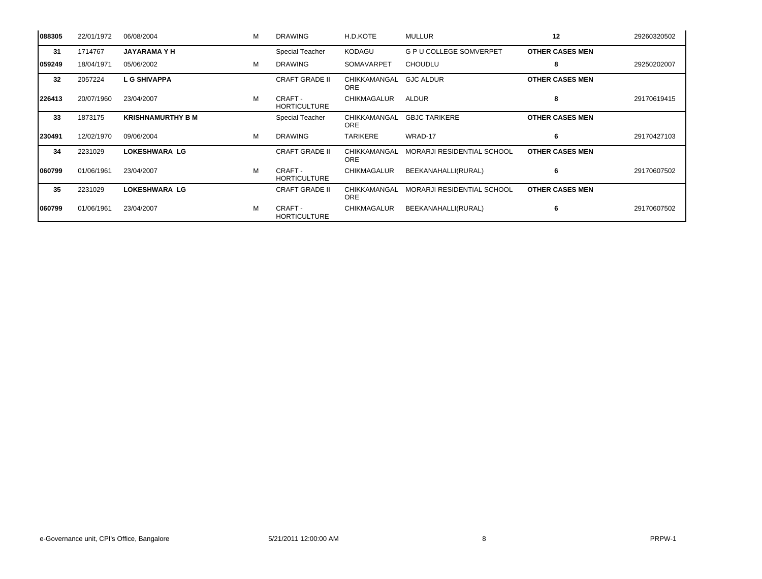| 088305 | 22/01/1972 | 06/08/2004               | м | <b>DRAWING</b>                 | H.D.KOTE                   | <b>MULLUR</b>                  | 12                     | 29260320502 |
|--------|------------|--------------------------|---|--------------------------------|----------------------------|--------------------------------|------------------------|-------------|
| 31     | 1714767    | <b>JAYARAMAYH</b>        |   | <b>Special Teacher</b>         | <b>KODAGU</b>              | <b>G P U COLLEGE SOMVERPET</b> | <b>OTHER CASES MEN</b> |             |
| 059249 | 18/04/1971 | 05/06/2002               | M | <b>DRAWING</b>                 | <b>SOMAVARPET</b>          | <b>CHOUDLU</b>                 | 8                      | 29250202007 |
| 32     | 2057224    | <b>LG SHIVAPPA</b>       |   | <b>CRAFT GRADE II</b>          | CHIKKAMANGAL<br><b>ORE</b> | <b>GJC ALDUR</b>               | <b>OTHER CASES MEN</b> |             |
| 226413 | 20/07/1960 | 23/04/2007               | M | CRAFT -<br><b>HORTICULTURE</b> | <b>CHIKMAGALUR</b>         | ALDUR                          | 8                      | 29170619415 |
| 33     | 1873175    | <b>KRISHNAMURTHY B M</b> |   | Special Teacher                | CHIKKAMANGAL<br><b>ORE</b> | <b>GBJC TARIKERE</b>           | <b>OTHER CASES MEN</b> |             |
| 230491 | 12/02/1970 | 09/06/2004               | M | <b>DRAWING</b>                 | <b>TARIKERE</b>            | WRAD-17                        | 6                      | 29170427103 |
| 34     | 2231029    | <b>LOKESHWARA LG</b>     |   | <b>CRAFT GRADE II</b>          | CHIKKAMANGAL<br>ORE        | MORARJI RESIDENTIAL SCHOOL     | <b>OTHER CASES MEN</b> |             |
| 060799 | 01/06/1961 | 23/04/2007               | M | CRAFT -<br><b>HORTICULTURE</b> | <b>CHIKMAGALUR</b>         | BEEKANAHALLI(RURAL)            | 6                      | 29170607502 |
| 35     | 2231029    | <b>LOKESHWARA LG</b>     |   | <b>CRAFT GRADE II</b>          | CHIKKAMANGAL<br><b>ORE</b> | MORARJI RESIDENTIAL SCHOOL     | <b>OTHER CASES MEN</b> |             |
| 060799 | 01/06/1961 | 23/04/2007               | М | CRAFT -<br><b>HORTICULTURE</b> | <b>CHIKMAGALUR</b>         | BEEKANAHALLI(RURAL)            | 6                      | 29170607502 |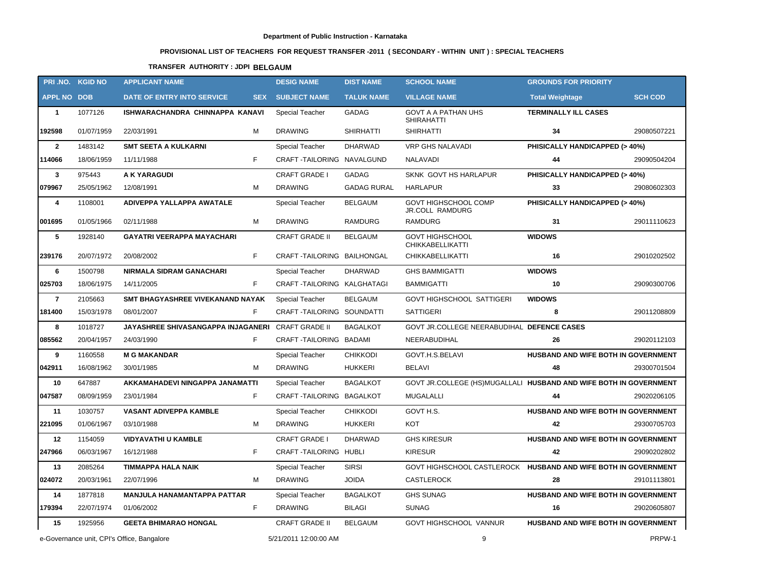# **PROVISIONAL LIST OF TEACHERS FOR REQUEST TRANSFER -2011 ( SECONDARY - WITHIN UNIT ) : SPECIAL TEACHERS**

# **TRANSFER AUTHORITY : JDPI BELGAUM**

| PRI.NO. KGID NO                            |            | <b>APPLICANT NAME</b>                                    | <b>DESIG NAME</b>          | <b>DIST NAME</b>   | <b>SCHOOL NAME</b>                                                | <b>GROUNDS FOR PRIORITY</b>         |                |
|--------------------------------------------|------------|----------------------------------------------------------|----------------------------|--------------------|-------------------------------------------------------------------|-------------------------------------|----------------|
| <b>APPL NO DOB</b>                         |            | DATE OF ENTRY INTO SERVICE<br><b>SEX</b>                 | <b>SUBJECT NAME</b>        | <b>TALUK NAME</b>  | <b>VILLAGE NAME</b>                                               | <b>Total Weightage</b>              | <b>SCH COD</b> |
| $\mathbf{1}$                               | 1077126    | ISHWARACHANDRA CHINNAPPA KANAVI                          | Special Teacher            | GADAG              | GOVT A A PATHAN UHS<br><b>SHIRAHATTI</b>                          | <b>TERMINALLY ILL CASES</b>         |                |
| 192598                                     | 01/07/1959 | 22/03/1991<br>м                                          | <b>DRAWING</b>             | <b>SHIRHATTI</b>   | <b>SHIRHATTI</b>                                                  | 34                                  | 29080507221    |
| $\overline{2}$                             | 1483142    | <b>SMT SEETA A KULKARNI</b>                              | Special Teacher            | <b>DHARWAD</b>     | VRP GHS NALAVADI                                                  | PHISICALLY HANDICAPPED (> 40%)      |                |
| 114066                                     | 18/06/1959 | F.<br>11/11/1988                                         | CRAFT TAILORING NAVALGUND  |                    | NALAVADI                                                          | 44                                  | 29090504204    |
| $\mathbf{3}$                               | 975443     | A K YARAGUDI                                             | <b>CRAFT GRADE I</b>       | <b>GADAG</b>       | SKNK GOVT HS HARLAPUR                                             | PHISICALLY HANDICAPPED (> 40%)      |                |
| 079967                                     | 25/05/1962 | 12/08/1991<br>м                                          | <b>DRAWING</b>             | <b>GADAG RURAL</b> | <b>HARLAPUR</b>                                                   | 33                                  | 29080602303    |
| 4                                          | 1108001    | ADIVEPPA YALLAPPA AWATALE                                | Special Teacher            | <b>BELGAUM</b>     | GOVT HIGHSCHOOL COMP<br><b>JR.COLL RAMDURG</b>                    | PHISICALLY HANDICAPPED (> 40%)      |                |
| 001695                                     | 01/05/1966 | 02/11/1988<br>м                                          | <b>DRAWING</b>             | RAMDURG            | <b>RAMDURG</b>                                                    | 31                                  | 29011110623    |
| 5                                          | 1928140    | <b>GAYATRI VEERAPPA MAYACHARI</b>                        | <b>CRAFT GRADE II</b>      | <b>BELGAUM</b>     | <b>GOVT HIGHSCHOOL</b><br><b>CHIKKABELLIKATTI</b>                 | <b>WIDOWS</b>                       |                |
| 239176                                     | 20/07/1972 | F.<br>20/08/2002                                         | CRAFT-TAILORING BAILHONGAL |                    | <b>CHIKKABELLIKATTI</b>                                           | 16                                  | 29010202502    |
| 6                                          | 1500798    | <b>NIRMALA SIDRAM GANACHARI</b>                          | Special Teacher            | <b>DHARWAD</b>     | <b>GHS BAMMIGATTI</b>                                             | <b>WIDOWS</b>                       |                |
| 025703                                     | 18/06/1975 | F.<br>14/11/2005                                         | CRAFT-TAILORING KALGHATAGI |                    | <b>BAMMIGATTI</b>                                                 | 10                                  | 29090300706    |
| $\overline{7}$                             | 2105663    | SMT BHAGYASHREE VIVEKANAND NAYAK                         | Special Teacher            | <b>BELGAUM</b>     | <b>GOVT HIGHSCHOOL SATTIGERI</b>                                  | <b>WIDOWS</b>                       |                |
| 181400                                     | 15/03/1978 | F.<br>08/01/2007                                         | CRAFT-TAILORING SOUNDATTI  |                    | <b>SATTIGERI</b>                                                  | 8                                   | 29011208809    |
| 8                                          | 1018727    | <b>JAYASHREE SHIVASANGAPPA INJAGANERI CRAFT GRADE II</b> |                            | <b>BAGALKOT</b>    | GOVT JR.COLLEGE NEERABUDIHAL DEFENCE CASES                        |                                     |                |
| 085562                                     | 20/04/1957 | F<br>24/03/1990                                          | CRAFT-TAILORING BADAMI     |                    | NEERABUDIHAL                                                      | 26                                  | 29020112103    |
| 9                                          | 1160558    | <b>M G MAKANDAR</b>                                      | Special Teacher            | <b>CHIKKODI</b>    | GOVT.H.S.BELAVI                                                   | HUSBAND AND WIFE BOTH IN GOVERNMENT |                |
| 042911                                     | 16/08/1962 | 30/01/1985<br>м                                          | <b>DRAWING</b>             | HUKKERI            | <b>BELAVI</b>                                                     | 48                                  | 29300701504    |
| 10                                         | 647887     | AKKAMAHADEVI NINGAPPA JANAMATTI                          | Special Teacher            | <b>BAGALKOT</b>    | GOVT JR.COLLEGE (HS)MUGALLALI HUSBAND AND WIFE BOTH IN GOVERNMENT |                                     |                |
| 047587                                     | 08/09/1959 | F.<br>23/01/1984                                         | CRAFT-TAILORING BAGALKOT   |                    | <b>MUGALALLI</b>                                                  | 44                                  | 29020206105    |
| 11                                         | 1030757    | <b>VASANT ADIVEPPA KAMBLE</b>                            | <b>Special Teacher</b>     | <b>CHIKKODI</b>    | GOVT H.S.                                                         | HUSBAND AND WIFE BOTH IN GOVERNMENT |                |
| 221095                                     | 01/06/1967 | 03/10/1988<br>M                                          | <b>DRAWING</b>             | <b>HUKKERI</b>     | <b>KOT</b>                                                        | 42                                  | 29300705703    |
| 12                                         | 1154059    | <b>VIDYAVATHI U KAMBLE</b>                               | <b>CRAFT GRADE I</b>       | <b>DHARWAD</b>     | <b>GHS KIRESUR</b>                                                | HUSBAND AND WIFE BOTH IN GOVERNMENT |                |
| 247966                                     | 06/03/1967 | 16/12/1988                                               | CRAFT-TAILORING HUBLI      |                    | <b>KIRESUR</b>                                                    | 42                                  | 29090202802    |
| 13                                         | 2085264    | <b>TIMMAPPA HALA NAIK</b>                                | <b>Special Teacher</b>     | <b>SIRSI</b>       | GOVT HIGHSCHOOL CASTLEROCK HUSBAND AND WIFE BOTH IN GOVERNMENT    |                                     |                |
| 024072                                     | 20/03/1961 | м<br>22/07/1996                                          | <b>DRAWING</b>             | <b>JOIDA</b>       | <b>CASTLEROCK</b>                                                 | 28                                  | 29101113801    |
| 14                                         | 1877818    | <b>MANJULA HANAMANTAPPA PATTAR</b>                       | <b>Special Teacher</b>     | <b>BAGALKOT</b>    | <b>GHS SUNAG</b>                                                  | HUSBAND AND WIFE BOTH IN GOVERNMENT |                |
| 179394                                     | 22/07/1974 | F.<br>01/06/2002                                         | <b>DRAWING</b>             | <b>BILAGI</b>      | <b>SUNAG</b>                                                      | 16                                  | 29020605807    |
| 15                                         | 1925956    | <b>GEETA BHIMARAO HONGAL</b>                             | <b>CRAFT GRADE II</b>      | <b>BELGAUM</b>     | GOVT HIGHSCHOOL VANNUR                                            | HUSBAND AND WIFE BOTH IN GOVERNMENT |                |
| e-Governance unit, CPI's Office, Bangalore |            |                                                          | 5/21/2011 12:00:00 AM      |                    | 9                                                                 |                                     | PRPW-1         |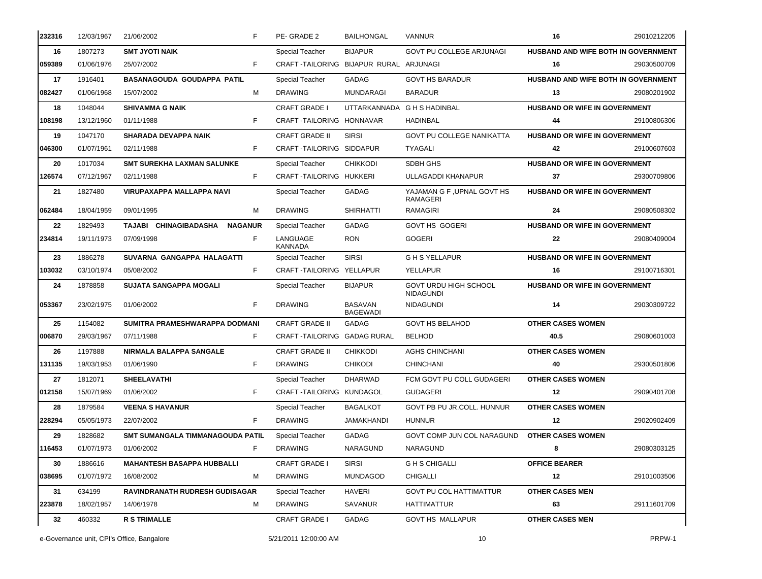| 232316 | 12/03/1967 | 21/06/2002<br>F.                        | PE-GRADE 2                 | <b>BAILHONGAL</b>                      | <b>VANNUR</b>                                | 16                                         | 29010212205 |
|--------|------------|-----------------------------------------|----------------------------|----------------------------------------|----------------------------------------------|--------------------------------------------|-------------|
| 16     | 1807273    | <b>SMT JYOTI NAIK</b>                   | <b>Special Teacher</b>     | <b>BIJAPUR</b>                         | <b>GOVT PU COLLEGE ARJUNAGI</b>              | <b>HUSBAND AND WIFE BOTH IN GOVERNMENT</b> |             |
| 059389 | 01/06/1976 | F.<br>25/07/2002                        |                            | CRAFT-TAILORING BIJAPUR RURAL ARJUNAGI |                                              | 16                                         | 29030500709 |
| 17     | 1916401    | <b>BASANAGOUDA GOUDAPPA PATIL</b>       | Special Teacher            | GADAG                                  | <b>GOVT HS BARADUR</b>                       | HUSBAND AND WIFE BOTH IN GOVERNMENT        |             |
| 082427 | 01/06/1968 | 15/07/2002<br>M                         | <b>DRAWING</b>             | <b>MUNDARAGI</b>                       | <b>BARADUR</b>                               | 13                                         | 29080201902 |
| 18     | 1048044    | <b>SHIVAMMA G NAIK</b>                  | <b>CRAFT GRADE I</b>       | UTTARKANNADA                           | <b>G H S HADINBAL</b>                        | HUSBAND OR WIFE IN GOVERNMENT              |             |
| 108198 | 13/12/1960 | F<br>01/11/1988                         |                            | CRAFT-TAILORING HONNAVAR               | HADINBAL                                     | 44                                         | 29100806306 |
| 19     | 1047170    | <b>SHARADA DEVAPPA NAIK</b>             | <b>CRAFT GRADE II</b>      | <b>SIRSI</b>                           | <b>GOVT PU COLLEGE NANIKATTA</b>             | HUSBAND OR WIFE IN GOVERNMENT              |             |
| 046300 | 01/07/1961 | F<br>02/11/1988                         |                            | CRAFT-TAILORING SIDDAPUR               | <b>TYAGALI</b>                               | 42                                         | 29100607603 |
| 20     | 1017034    | <b>SMT SUREKHA LAXMAN SALUNKE</b>       | Special Teacher            | <b>CHIKKODI</b>                        | SDBH GHS                                     | <b>HUSBAND OR WIFE IN GOVERNMENT</b>       |             |
| 126574 | 07/12/1967 | F.<br>02/11/1988                        |                            | CRAFT-TAILORING HUKKERI                | ULLAGADDI KHANAPUR                           | 37                                         | 29300709806 |
| 21     | 1827480    | <b>VIRUPAXAPPA MALLAPPA NAVI</b>        | Special Teacher            | <b>GADAG</b>                           | YAJAMAN G F, UPNAL GOVT HS<br>RAMAGERI       | HUSBAND OR WIFE IN GOVERNMENT              |             |
| 062484 | 18/04/1959 | M<br>09/01/1995                         | <b>DRAWING</b>             | <b>SHIRHATTI</b>                       | <b>RAMAGIRI</b>                              | 24                                         | 29080508302 |
| 22     | 1829493    | TAJABI CHINAGIBADASHA<br><b>NAGANUR</b> | Special Teacher            | GADAG                                  | <b>GOVT HS GOGERI</b>                        | HUSBAND OR WIFE IN GOVERNMENT              |             |
| 234814 | 19/11/1973 | F<br>07/09/1998                         | LANGUAGE<br><b>KANNADA</b> | <b>RON</b>                             | <b>GOGERI</b>                                | 22                                         | 29080409004 |
| 23     | 1886278    | SUVARNA GANGAPPA HALAGATTI              | Special Teacher            | <b>SIRSI</b>                           | <b>GHS YELLAPUR</b>                          | HUSBAND OR WIFE IN GOVERNMENT              |             |
| 103032 | 03/10/1974 | F<br>05/08/2002                         |                            | CRAFT TAILORING YELLAPUR               | YELLAPUR                                     | 16                                         | 29100716301 |
| 24     | 1878858    | <b>SUJATA SANGAPPA MOGALI</b>           | Special Teacher            | <b>BIJAPUR</b>                         | GOVT URDU HIGH SCHOOL<br><b>NIDAGUNDI</b>    | HUSBAND OR WIFE IN GOVERNMENT              |             |
| 053367 | 23/02/1975 | F<br>01/06/2002                         | <b>DRAWING</b>             | <b>BASAVAN</b><br><b>BAGEWADI</b>      | <b>NIDAGUNDI</b>                             | 14                                         | 29030309722 |
| 25     | 1154082    | SUMITRA PRAMESHWARAPPA DODMANI          | <b>CRAFT GRADE II</b>      | GADAG                                  | <b>GOVT HS BELAHOD</b>                       | <b>OTHER CASES WOMEN</b>                   |             |
| 006870 | 29/03/1967 | 07/11/1988<br>F                         |                            | CRAFT TAILORING GADAG RURAL            | <b>BELHOD</b>                                | 40.5                                       | 29080601003 |
| 26     | 1197888    | <b>NIRMALA BALAPPA SANGALE</b>          | <b>CRAFT GRADE II</b>      | <b>CHIKKODI</b>                        | <b>AGHS CHINCHANI</b>                        | <b>OTHER CASES WOMEN</b>                   |             |
| 131135 | 19/03/1953 | F<br>01/06/1990                         | <b>DRAWING</b>             | <b>CHIKODI</b>                         | <b>CHINCHANI</b>                             | 40                                         | 29300501806 |
| 27     | 1812071    | <b>SHEELAVATHI</b>                      | Special Teacher            | <b>DHARWAD</b>                         | FCM GOVT PU COLL GUDAGERI                    | <b>OTHER CASES WOMEN</b>                   |             |
| 012158 | 15/07/1969 | F<br>01/06/2002                         |                            | CRAFT-TAILORING KUNDAGOL               | <b>GUDAGERI</b>                              | 12                                         | 29090401708 |
| 28     | 1879584    | <b>VEENA S HAVANUR</b>                  | Special Teacher            | <b>BAGALKOT</b>                        | GOVT PB PU JR.COLL. HUNNUR                   | <b>OTHER CASES WOMEN</b>                   |             |
| 228294 | 05/05/1973 | 22/07/2002<br>F.                        | DRAWING                    | JAMAKHANDI                             | HUNNUR                                       | 12                                         | 29020902409 |
| 29     | 1828682    | SMT SUMANGALA TIMMANAGOUDA PATIL        | <b>Special Teacher</b>     | GADAG                                  | GOVT COMP JUN COL NARAGUND OTHER CASES WOMEN |                                            |             |
| 116453 | 01/07/1973 | F.<br>01/06/2002                        | <b>DRAWING</b>             | NARAGUND                               | NARAGUND                                     | 8                                          | 29080303125 |
| 30     | 1886616    | <b>MAHANTESH BASAPPA HUBBALLI</b>       | <b>CRAFT GRADE I</b>       | <b>SIRSI</b>                           | <b>GHS CHIGALLI</b>                          | <b>OFFICE BEARER</b>                       |             |
| 038695 | 01/07/1972 | 16/08/2002<br>м                         | <b>DRAWING</b>             | <b>MUNDAGOD</b>                        | CHIGALLI                                     | 12                                         | 29101003506 |
| 31     | 634199     | <b>RAVINDRANATH RUDRESH GUDISAGAR</b>   | Special Teacher            | HAVERI                                 | <b>GOVT PU COL HATTIMATTUR</b>               | <b>OTHER CASES MEN</b>                     |             |
| 223878 | 18/02/1957 | 14/06/1978<br>м                         | <b>DRAWING</b>             | SAVANUR                                | HATTIMATTUR                                  | 63                                         | 29111601709 |
| 32     | 460332     | <b>R S TRIMALLE</b>                     | <b>CRAFT GRADE I</b>       | GADAG                                  | <b>GOVT HS MALLAPUR</b>                      | <b>OTHER CASES MEN</b>                     |             |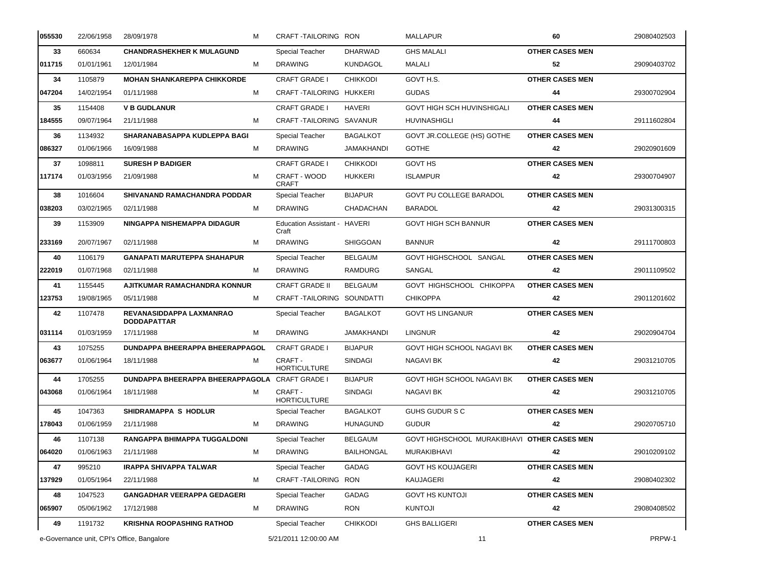| 055530 | 22/06/1958                                 | 28/09/1978                                            | м | CRAFT TAILORING RON                   |                   | <b>MALLAPUR</b>                             | 60                     | 29080402503 |
|--------|--------------------------------------------|-------------------------------------------------------|---|---------------------------------------|-------------------|---------------------------------------------|------------------------|-------------|
| 33     | 660634                                     | <b>CHANDRASHEKHER K MULAGUND</b>                      |   | Special Teacher                       | <b>DHARWAD</b>    | <b>GHS MALALI</b>                           | <b>OTHER CASES MEN</b> |             |
| 011715 | 01/01/1961                                 | 12/01/1984                                            | м | <b>DRAWING</b>                        | <b>KUNDAGOL</b>   | MALALI                                      | 52                     | 29090403702 |
| 34     | 1105879                                    | <b>MOHAN SHANKAREPPA CHIKKORDE</b>                    |   | <b>CRAFT GRADE I</b>                  | <b>CHIKKODI</b>   | GOVT H.S.                                   | <b>OTHER CASES MEN</b> |             |
| 047204 | 14/02/1954                                 | 01/11/1988                                            | м | CRAFT TAILORING HUKKERI               |                   | <b>GUDAS</b>                                | 44                     | 29300702904 |
| 35     | 1154408                                    | <b>V B GUDLANUR</b>                                   |   | <b>CRAFT GRADE I</b>                  | <b>HAVERI</b>     | <b>GOVT HIGH SCH HUVINSHIGALI</b>           | <b>OTHER CASES MEN</b> |             |
| 184555 | 09/07/1964                                 | 21/11/1988                                            | м | CRAFT-TAILORING SAVANUR               |                   | <b>HUVINASHIGLI</b>                         | 44                     | 29111602804 |
| 36     | 1134932                                    | SHARANABASAPPA KUDLEPPA BAGI                          |   | Special Teacher                       | <b>BAGALKOT</b>   | GOVT JR.COLLEGE (HS) GOTHE                  | <b>OTHER CASES MEN</b> |             |
| 086327 | 01/06/1966                                 | 16/09/1988                                            | м | <b>DRAWING</b>                        | <b>JAMAKHANDI</b> | <b>GOTHE</b>                                | 42                     | 29020901609 |
| 37     | 1098811                                    | <b>SURESH P BADIGER</b>                               |   | <b>CRAFT GRADE I</b>                  | <b>CHIKKODI</b>   | <b>GOVT HS</b>                              | <b>OTHER CASES MEN</b> |             |
| 117174 | 01/03/1956                                 | 21/09/1988                                            | м | CRAFT - WOOD<br><b>CRAFT</b>          | HUKKERI           | <b>ISLAMPUR</b>                             | 42                     | 29300704907 |
| 38     | 1016604                                    | SHIVANAND RAMACHANDRA PODDAR                          |   | Special Teacher                       | <b>BIJAPUR</b>    | GOVT PU COLLEGE BARADOL                     | <b>OTHER CASES MEN</b> |             |
| 038203 | 03/02/1965                                 | 02/11/1988                                            | м | <b>DRAWING</b>                        | CHADACHAN         | <b>BARADOL</b>                              | 42                     | 29031300315 |
| 39     | 1153909                                    | NINGAPPA NISHEMAPPA DIDAGUR                           |   | Education Assistant - HAVERI<br>Craft |                   | <b>GOVT HIGH SCH BANNUR</b>                 | <b>OTHER CASES MEN</b> |             |
| 233169 | 20/07/1967                                 | 02/11/1988                                            | м | <b>DRAWING</b>                        | <b>SHIGGOAN</b>   | <b>BANNUR</b>                               | 42                     | 29111700803 |
| 40     | 1106179                                    | <b>GANAPATI MARUTEPPA SHAHAPUR</b>                    |   | Special Teacher                       | <b>BELGAUM</b>    | GOVT HIGHSCHOOL SANGAL                      | <b>OTHER CASES MEN</b> |             |
| 222019 | 01/07/1968                                 | 02/11/1988                                            | M | <b>DRAWING</b>                        | RAMDURG           | SANGAL                                      | 42                     | 29011109502 |
| 41     | 1155445                                    | AJITKUMAR RAMACHANDRA KONNUR                          |   | <b>CRAFT GRADE II</b>                 | <b>BELGAUM</b>    | GOVT HIGHSCHOOL CHIKOPPA                    | <b>OTHER CASES MEN</b> |             |
| 123753 | 19/08/1965                                 | 05/11/1988                                            | м | CRAFT TAILORING SOUNDATTI             |                   | <b>CHIKOPPA</b>                             | 42                     | 29011201602 |
| 42     | 1107478                                    | REVANASIDDAPPA LAXMANRAO<br><b>DODDAPATTAR</b>        |   | Special Teacher                       | <b>BAGALKOT</b>   | <b>GOVT HS LINGANUR</b>                     | <b>OTHER CASES MEN</b> |             |
| 031114 | 01/03/1959                                 | 17/11/1988                                            | м | <b>DRAWING</b>                        | <b>JAMAKHANDI</b> | <b>LINGNUR</b>                              | 42                     | 29020904704 |
| 43     | 1075255                                    | DUNDAPPA BHEERAPPA BHEERAPPAGOL                       |   | <b>CRAFT GRADE I</b>                  | <b>BIJAPUR</b>    | GOVT HIGH SCHOOL NAGAVI BK                  | <b>OTHER CASES MEN</b> |             |
| 063677 | 01/06/1964                                 | 18/11/1988                                            | м | CRAFT -<br><b>HORTICULTURE</b>        | <b>SINDAGI</b>    | NAGAVI BK                                   | 42                     | 29031210705 |
| 44     | 1705255                                    | <b>DUNDAPPA BHEERAPPA BHEERAPPAGOLA CRAFT GRADE I</b> |   |                                       | <b>BIJAPUR</b>    | GOVT HIGH SCHOOL NAGAVI BK                  | <b>OTHER CASES MEN</b> |             |
| 043068 | 01/06/1964                                 | 18/11/1988                                            | м | CRAFT -<br><b>HORTICULTURE</b>        | <b>SINDAGI</b>    | NAGAVI BK                                   | 42                     | 29031210705 |
| 45     | 1047363                                    | SHIDRAMAPPA S HODLUR                                  |   | <b>Special Teacher</b>                | <b>BAGALKOT</b>   | GUHS GUDUR S C                              | <b>OTHER CASES MEN</b> |             |
| 178043 | 01/06/1959                                 | 21/11/1988                                            | м | <b>DRAWING</b>                        | <b>HUNAGUND</b>   | <b>GUDUR</b>                                | 42                     | 29020705710 |
| 46     | 1107138                                    | RANGAPPA BHIMAPPA TUGGALDONI                          |   | <b>Special Teacher</b>                | <b>BELGAUM</b>    | GOVT HIGHSCHOOL MURAKIBHAVI OTHER CASES MEN |                        |             |
| 064020 | 01/06/1963                                 | 21/11/1988                                            | М | <b>DRAWING</b>                        | <b>BAILHONGAL</b> | MURAKIBHAVI                                 | 42                     | 29010209102 |
| 47     | 995210                                     | <b>IRAPPA SHIVAPPA TALWAR</b>                         |   | Special Teacher                       | GADAG             | <b>GOVT HS KOUJAGERI</b>                    | <b>OTHER CASES MEN</b> |             |
| 137929 | 01/05/1964                                 | 22/11/1988                                            | м | CRAFT-TAILORING RON                   |                   | KAUJAGERI                                   | 42                     | 29080402302 |
| 48     | 1047523                                    | <b>GANGADHAR VEERAPPA GEDAGERI</b>                    |   | Special Teacher                       | GADAG             | <b>GOVT HS KUNTOJI</b>                      | <b>OTHER CASES MEN</b> |             |
| 065907 | 05/06/1962                                 | 17/12/1988                                            | M | <b>DRAWING</b>                        | <b>RON</b>        | KUNTOJI                                     | 42                     | 29080408502 |
| 49     | 1191732                                    | <b>KRISHNA ROOPASHING RATHOD</b>                      |   | Special Teacher                       | <b>CHIKKODI</b>   | <b>GHS BALLIGERI</b>                        | <b>OTHER CASES MEN</b> |             |
|        | e-Governance unit, CPI's Office, Bangalore |                                                       |   | 5/21/2011 12:00:00 AM                 |                   | 11                                          |                        | PRPW-1      |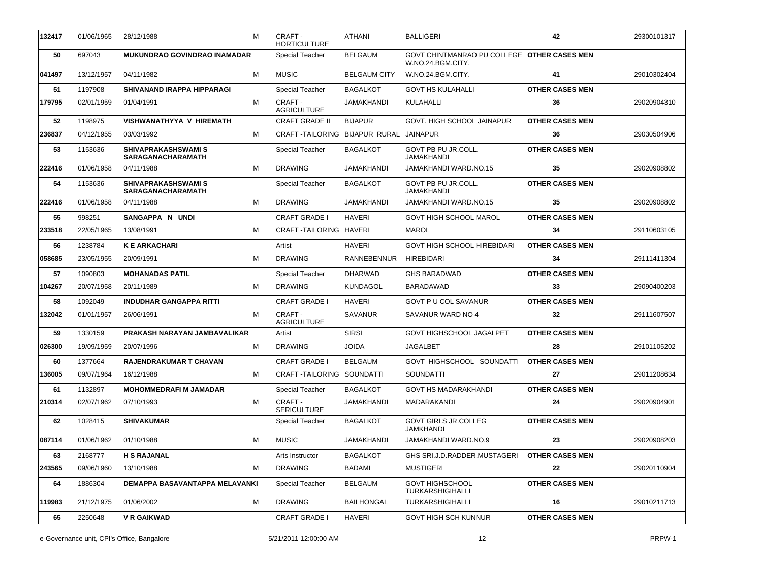| 132417 | 01/06/1965 | 28/12/1988                                             | м | CRAFT -<br><b>HORTICULTURE</b>         | ATHANI              | BALLIGERI                                                        | 42                     | 29300101317 |
|--------|------------|--------------------------------------------------------|---|----------------------------------------|---------------------|------------------------------------------------------------------|------------------------|-------------|
| 50     | 697043     | MUKUNDRAO GOVINDRAO INAMADAR                           |   | Special Teacher                        | <b>BELGAUM</b>      | GOVT CHINTMANRAO PU COLLEGE OTHER CASES MEN<br>W.NO.24.BGM.CITY. |                        |             |
| 041497 | 13/12/1957 | 04/11/1982                                             | м | <b>MUSIC</b>                           | <b>BELGAUM CITY</b> | W.NO.24.BGM.CITY.                                                | 41                     | 29010302404 |
| 51     | 1197908    | <b>SHIVANAND IRAPPA HIPPARAGI</b>                      |   | Special Teacher                        | <b>BAGALKOT</b>     | <b>GOVT HS KULAHALLI</b>                                         | <b>OTHER CASES MEN</b> |             |
| 179795 | 02/01/1959 | 01/04/1991                                             | м | CRAFT -<br><b>AGRICULTURE</b>          | JAMAKHANDI          | KULAHALLI                                                        | 36                     | 29020904310 |
| 52     | 1198975    | <b>VISHWANATHYYA V HIREMATH</b>                        |   | <b>CRAFT GRADE II</b>                  | <b>BIJAPUR</b>      | GOVT. HIGH SCHOOL JAINAPUR                                       | <b>OTHER CASES MEN</b> |             |
| 236837 | 04/12/1955 | 03/03/1992                                             | м | CRAFT-TAILORING BIJAPUR RURAL JAINAPUR |                     |                                                                  | 36                     | 29030504906 |
| 53     | 1153636    | <b>SHIVAPRAKASHSWAMI S</b><br><b>SARAGANACHARAMATH</b> |   | <b>Special Teacher</b>                 | <b>BAGALKOT</b>     | GOVT PB PU JR.COLL.<br>JAMAKHANDI                                | <b>OTHER CASES MEN</b> |             |
| 222416 | 01/06/1958 | 04/11/1988                                             | м | <b>DRAWING</b>                         | JAMAKHANDI          | JAMAKHANDI WARD.NO.15                                            | 35                     | 29020908802 |
| 54     | 1153636    | <b>SHIVAPRAKASHSWAMI S</b><br><b>SARAGANACHARAMATH</b> |   | Special Teacher                        | <b>BAGALKOT</b>     | GOVT PB PU JR.COLL.<br>JAMAKHANDI                                | <b>OTHER CASES MEN</b> |             |
| 222416 | 01/06/1958 | 04/11/1988                                             | м | <b>DRAWING</b>                         | JAMAKHANDI          | <b>JAMAKHANDI WARD.NO.15</b>                                     | 35                     | 29020908802 |
| 55     | 998251     | SANGAPPA N UNDI                                        |   | <b>CRAFT GRADE I</b>                   | <b>HAVERI</b>       | <b>GOVT HIGH SCHOOL MAROL</b>                                    | <b>OTHER CASES MEN</b> |             |
| 233518 | 22/05/1965 | 13/08/1991                                             | м | CRAFT TAILORING HAVERI                 |                     | <b>MAROL</b>                                                     | 34                     | 29110603105 |
| 56     | 1238784    | <b>K E ARKACHARI</b>                                   |   | Artist                                 | <b>HAVERI</b>       | <b>GOVT HIGH SCHOOL HIREBIDARI</b>                               | <b>OTHER CASES MEN</b> |             |
| 058685 | 23/05/1955 | 20/09/1991                                             | м | <b>DRAWING</b>                         | <b>RANNEBENNUR</b>  | <b>HIREBIDARI</b>                                                | 34                     | 29111411304 |
| 57     | 1090803    | <b>MOHANADAS PATIL</b>                                 |   | Special Teacher                        | <b>DHARWAD</b>      | <b>GHS BARADWAD</b>                                              | <b>OTHER CASES MEN</b> |             |
| 104267 | 20/07/1958 | 20/11/1989                                             | м | <b>DRAWING</b>                         | <b>KUNDAGOL</b>     | BARADAWAD                                                        | 33                     | 29090400203 |
| 58     | 1092049    | <b>INDUDHAR GANGAPPA RITTI</b>                         |   | <b>CRAFT GRADE I</b>                   | <b>HAVERI</b>       | <b>GOVT P U COL SAVANUR</b>                                      | <b>OTHER CASES MEN</b> |             |
| 132042 | 01/01/1957 | 26/06/1991                                             | м | CRAFT -<br><b>AGRICULTURE</b>          | <b>SAVANUR</b>      | SAVANUR WARD NO 4                                                | 32                     | 29111607507 |
| 59     | 1330159    | PRAKASH NARAYAN JAMBAVALIKAR                           |   | Artist                                 | <b>SIRSI</b>        | GOVT HIGHSCHOOL JAGALPET                                         | <b>OTHER CASES MEN</b> |             |
| 026300 | 19/09/1959 | 20/07/1996                                             | м | <b>DRAWING</b>                         | <b>JOIDA</b>        | <b>JAGALBET</b>                                                  | 28                     | 29101105202 |
| 60     | 1377664    | <b>RAJENDRAKUMAR T CHAVAN</b>                          |   | <b>CRAFT GRADE I</b>                   | <b>BELGAUM</b>      | GOVT HIGHSCHOOL SOUNDATTI                                        | <b>OTHER CASES MEN</b> |             |
| 136005 | 09/07/1964 | 16/12/1988                                             | м | CRAFT-TAILORING SOUNDATTI              |                     | SOUNDATTI                                                        | 27                     | 29011208634 |
| 61     | 1132897    | <b>MOHOMMEDRAFI M JAMADAR</b>                          |   | <b>Special Teacher</b>                 | <b>BAGALKOT</b>     | <b>GOVT HS MADARAKHANDI</b>                                      | <b>OTHER CASES MEN</b> |             |
| 210314 | 02/07/1962 | 07/10/1993                                             | м | CRAFT -<br>SERICULTURE                 | JAMAKHANDI          | MADARAKANDI                                                      | 24                     | 29020904901 |
| 62     | 1028415    | <b>SHIVAKUMAR</b>                                      |   | Special Teacher                        | <b>BAGALKOT</b>     | <b>GOVT GIRLS JR.COLLEG</b><br>JAMKHANDI                         | <b>OTHER CASES MEN</b> |             |
| 087114 | 01/06/1962 | 01/10/1988                                             | м | <b>MUSIC</b>                           | JAMAKHANDI          | JAMAKHANDI WARD.NO.9                                             | 23                     | 29020908203 |
| 63     | 2168777    | <b>H S RAJANAL</b>                                     |   | Arts Instructor                        | <b>BAGALKOT</b>     | GHS SRI.J.D.RADDER.MUSTAGERI                                     | <b>OTHER CASES MEN</b> |             |
| 243565 | 09/06/1960 | 13/10/1988                                             | м | <b>DRAWING</b>                         | BADAMI              | <b>MUSTIGERI</b>                                                 | 22                     | 29020110904 |
| 64     | 1886304    | <b>DEMAPPA BASAVANTAPPA MELAVANKI</b>                  |   | Special Teacher                        | <b>BELGAUM</b>      | <b>GOVT HIGHSCHOOL</b><br>TURKARSHIGIHALLI                       | <b>OTHER CASES MEN</b> |             |
| 119983 | 21/12/1975 | 01/06/2002                                             | м | <b>DRAWING</b>                         | <b>BAILHONGAL</b>   | <b>TURKARSHIGIHALLI</b>                                          | 16                     | 29010211713 |
| 65     | 2250648    | V R GAIKWAD                                            |   | <b>CRAFT GRADE I</b>                   | <b>HAVERI</b>       | <b>GOVT HIGH SCH KUNNUR</b>                                      | <b>OTHER CASES MEN</b> |             |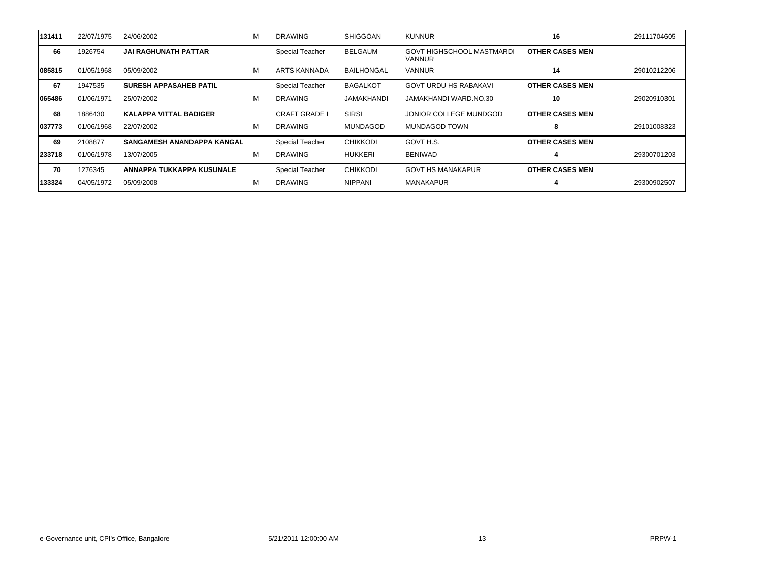| 131411  | 22/07/1975 | 24/06/2002                        | м | <b>DRAWING</b>         | <b>SHIGGOAN</b>   | <b>KUNNUR</b>                              | 16                     | 29111704605 |
|---------|------------|-----------------------------------|---|------------------------|-------------------|--------------------------------------------|------------------------|-------------|
| 66      | 1926754    | <b>JAI RAGHUNATH PATTAR</b>       |   | <b>Special Teacher</b> | <b>BELGAUM</b>    | <b>GOVT HIGHSCHOOL MASTMARDI</b><br>VANNUR | <b>OTHER CASES MEN</b> |             |
| 085815  | 01/05/1968 | 05/09/2002                        | м | ARTS KANNADA           | <b>BAILHONGAL</b> | <b>VANNUR</b>                              | 14                     | 29010212206 |
| 67      | 1947535    | <b>SURESH APPASAHEB PATIL</b>     |   | Special Teacher        | <b>BAGALKOT</b>   | <b>GOVT URDU HS RABAKAVI</b>               | <b>OTHER CASES MEN</b> |             |
| 065486  | 01/06/1971 | 25/07/2002                        | М | <b>DRAWING</b>         | JAMAKHANDI        | JAMAKHANDI WARD.NO.30                      | 10                     | 29020910301 |
| 68      | 1886430    | <b>KALAPPA VITTAL BADIGER</b>     |   | CRAFT GRADE I          | <b>SIRSI</b>      | JONIOR COLLEGE MUNDGOD                     | <b>OTHER CASES MEN</b> |             |
| 1037773 | 01/06/1968 | 22/07/2002                        | М | <b>DRAWING</b>         | <b>MUNDAGOD</b>   | MUNDAGOD TOWN                              | 8                      | 29101008323 |
| 69      | 2108877    | <b>SANGAMESH ANANDAPPA KANGAL</b> |   | <b>Special Teacher</b> | <b>CHIKKODI</b>   | GOVT H.S.                                  | <b>OTHER CASES MEN</b> |             |
| 233718  | 01/06/1978 | 13/07/2005                        | М | <b>DRAWING</b>         | <b>HUKKERI</b>    | <b>BENIWAD</b>                             |                        | 29300701203 |
| 70      | 1276345    | ANNAPPA TUKKAPPA KUSUNALE         |   | Special Teacher        | <b>CHIKKODI</b>   | <b>GOVT HS MANAKAPUR</b>                   | <b>OTHER CASES MEN</b> |             |
| 133324  | 04/05/1972 | 05/09/2008                        | м | <b>DRAWING</b>         | <b>NIPPANI</b>    | <b>MANAKAPUR</b>                           |                        | 29300902507 |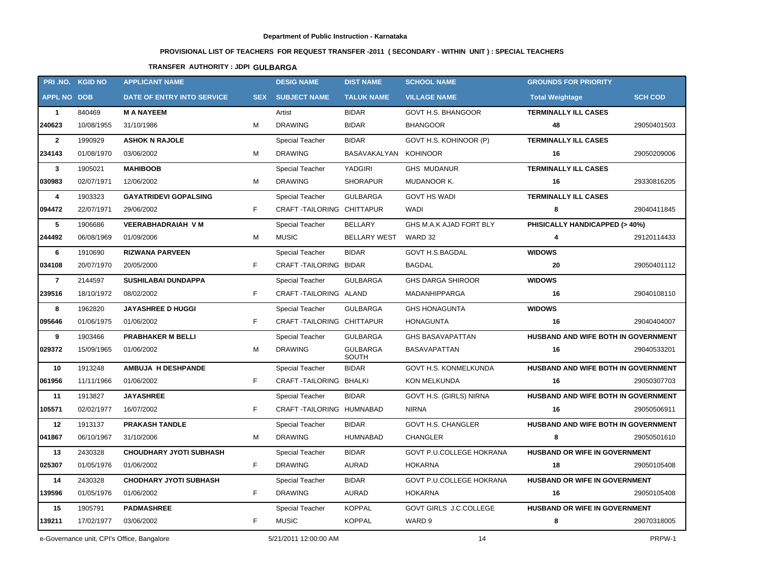# **PROVISIONAL LIST OF TEACHERS FOR REQUEST TRANSFER -2011 ( SECONDARY - WITHIN UNIT ) : SPECIAL TEACHERS**

## **TRANSFER AUTHORITY : JDPI GULBARGA**

| PRI.NO. KGID NO    |            | <b>APPLICANT NAME</b>                      |            | <b>DESIG NAME</b>         | <b>DIST NAME</b>         | <b>SCHOOL NAME</b>            | <b>GROUNDS FOR PRIORITY</b>          |                |
|--------------------|------------|--------------------------------------------|------------|---------------------------|--------------------------|-------------------------------|--------------------------------------|----------------|
| <b>APPL NO DOB</b> |            | <b>DATE OF ENTRY INTO SERVICE</b>          | <b>SEX</b> | <b>SUBJECT NAME</b>       | <b>TALUK NAME</b>        | <b>VILLAGE NAME</b>           | <b>Total Weightage</b>               | <b>SCH COD</b> |
| $\mathbf{1}$       | 840469     | <b>M A NAYEEM</b>                          |            | Artist                    | <b>BIDAR</b>             | <b>GOVT H.S. BHANGOOR</b>     | <b>TERMINALLY ILL CASES</b>          |                |
| 240623             | 10/08/1955 | 31/10/1986                                 | м          | <b>DRAWING</b>            | <b>BIDAR</b>             | <b>BHANGOOR</b>               | 48                                   | 29050401503    |
| $\mathbf{2}$       | 1990929    | <b>ASHOK N RAJOLE</b>                      |            | Special Teacher           | <b>BIDAR</b>             | GOVT H.S. KOHINOOR (P)        | <b>TERMINALLY ILL CASES</b>          |                |
| 234143             | 01/08/1970 | 03/06/2002                                 | М          | <b>DRAWING</b>            | BASAVAKALYAN KOHINOOR    |                               | 16                                   | 29050209006    |
| $\mathbf{3}$       | 1905021    | <b>MAHIBOOB</b>                            |            | Special Teacher           | YADGIRI                  | <b>GHS MUDANUR</b>            | <b>TERMINALLY ILL CASES</b>          |                |
| 030983             | 02/07/1971 | 12/06/2002                                 | М          | <b>DRAWING</b>            | <b>SHORAPUR</b>          | MUDANOOR K.                   | 16                                   | 29330816205    |
| 4                  | 1903323    | <b>GAYATRIDEVI GOPALSING</b>               |            | Special Teacher           | <b>GULBARGA</b>          | <b>GOVT HS WADI</b>           | <b>TERMINALLY ILL CASES</b>          |                |
| 094472             | 22/07/1971 | 29/06/2002                                 | F          | CRAFT-TAILORING CHITTAPUR |                          | WADI                          | 8                                    | 29040411845    |
| 5                  | 1906686    | <b>VEERABHADRAIAH VM</b>                   |            | Special Teacher           | <b>BELLARY</b>           | GHS M.A.K AJAD FORT BLY       | PHISICALLY HANDICAPPED (> 40%)       |                |
| 244492             | 06/08/1969 | 01/09/2006                                 | м          | <b>MUSIC</b>              | <b>BELLARY WEST</b>      | WARD 32                       | 4                                    | 29120114433    |
| 6                  | 1910690    | <b>RIZWANA PARVEEN</b>                     |            | Special Teacher           | <b>BIDAR</b>             | <b>GOVT H.S.BAGDAL</b>        | <b>WIDOWS</b>                        |                |
| 034108             | 20/07/1970 | 20/05/2000                                 | F          | CRAFT-TAILORING BIDAR     |                          | BAGDAL                        | 20                                   | 29050401112    |
| $\overline{7}$     | 2144597    | <b>SUSHILABAI DUNDAPPA</b>                 |            | <b>Special Teacher</b>    | <b>GULBARGA</b>          | <b>GHS DARGA SHIROOR</b>      | <b>WIDOWS</b>                        |                |
| 239516             | 18/10/1972 | 08/02/2002                                 | F          | CRAFT-TAILORING ALAND     |                          | <b>MADANHIPPARGA</b>          | 16                                   | 29040108110    |
| 8                  | 1962820    | <b>JAYASHREE D HUGGI</b>                   |            | Special Teacher           | <b>GULBARGA</b>          | <b>GHS HONAGUNTA</b>          | <b>WIDOWS</b>                        |                |
| 095646             | 01/06/1975 | 01/06/2002                                 | F.         | CRAFT-TAILORING CHITTAPUR |                          | <b>HONAGUNTA</b>              | 16                                   | 29040404007    |
| 9                  | 1903466    | <b>PRABHAKER M BELLI</b>                   |            | Special Teacher           | <b>GULBARGA</b>          | <b>GHS BASAVAPATTAN</b>       | HUSBAND AND WIFE BOTH IN GOVERNMENT  |                |
| 029372             | 15/09/1965 | 01/06/2002                                 | м          | <b>DRAWING</b>            | <b>GULBARGA</b><br>SOUTH | <b>BASAVAPATTAN</b>           | 16                                   | 29040533201    |
| 10                 | 1913248    | <b>AMBUJA H DESHPANDE</b>                  |            | Special Teacher           | <b>BIDAR</b>             | GOVT H.S. KONMELKUNDA         | HUSBAND AND WIFE BOTH IN GOVERNMENT  |                |
| 061956             | 11/11/1966 | 01/06/2002                                 | F.         | CRAFT-TAILORING BHALKI    |                          | KON MELKUNDA                  | 16                                   | 29050307703    |
| 11                 | 1913827    | <b>JAYASHREE</b>                           |            | <b>Special Teacher</b>    | <b>BIDAR</b>             | GOVT H.S. (GIRLS) NIRNA       | HUSBAND AND WIFE BOTH IN GOVERNMENT  |                |
| 105571             | 02/02/1977 | 16/07/2002                                 | F.         | CRAFT-TAILORING HUMNABAD  |                          | <b>NIRNA</b>                  | 16                                   | 29050506911    |
| 12                 | 1913137    | <b>PRAKASH TANDLE</b>                      |            | Special Teacher           | <b>BIDAR</b>             | GOVT H.S. CHANGLER            | HUSBAND AND WIFE BOTH IN GOVERNMENT  |                |
| 041867             | 06/10/1967 | 31/10/2006                                 | М          | <b>DRAWING</b>            | <b>HUMNABAD</b>          | <b>CHANGLER</b>               | 8                                    | 29050501610    |
| 13                 | 2430328    | <b>CHOUDHARY JYOTI SUBHASH</b>             |            | Special Teacher           | <b>BIDAR</b>             | GOVT P.U.COLLEGE HOKRANA      | <b>HUSBAND OR WIFE IN GOVERNMENT</b> |                |
| 025307             | 01/05/1976 | 01/06/2002                                 | F.         | DRAWING                   | AURAD                    | HOKARNA                       | 18                                   | 29050105408    |
| 14                 | 2430328    | <b>CHODHARY JYOTI SUBHASH</b>              |            | Special Teacher           | <b>BIDAR</b>             | GOVT P.U.COLLEGE HOKRANA      | HUSBAND OR WIFE IN GOVERNMENT        |                |
| 139596             | 01/05/1976 | 01/06/2002                                 | F.         | <b>DRAWING</b>            | AURAD                    | HOKARNA                       | 16                                   | 29050105408    |
| 15                 | 1905791    | <b>PADMASHREE</b>                          |            | Special Teacher           | <b>KOPPAL</b>            | <b>GOVT GIRLS J.C.COLLEGE</b> | <b>HUSBAND OR WIFE IN GOVERNMENT</b> |                |
| 139211             | 17/02/1977 | 03/06/2002                                 | F.         | MUSIC                     | <b>KOPPAL</b>            | WARD 9                        | 8                                    | 29070318005    |
|                    |            | e-Governance unit, CPI's Office, Bangalore |            | 5/21/2011 12:00:00 AM     |                          | 14                            |                                      | PRPW-1         |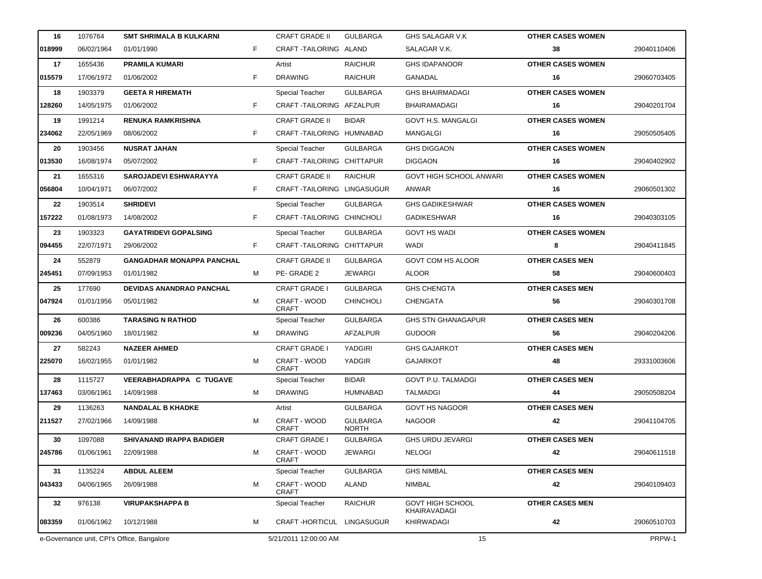| 16     | 1076764    | <b>SMT SHRIMALA B KULKARNI</b>             |    | <b>CRAFT GRADE II</b>        | <b>GULBARGA</b>                 | GHS SALAGAR V.K                         | <b>OTHER CASES WOMEN</b> |             |
|--------|------------|--------------------------------------------|----|------------------------------|---------------------------------|-----------------------------------------|--------------------------|-------------|
| 018999 | 06/02/1964 | 01/01/1990                                 | F. | CRAFT-TAILORING ALAND        |                                 | SALAGAR V.K.                            | 38                       | 29040110406 |
| 17     | 1655436    | <b>PRAMILA KUMARI</b>                      |    | Artist                       | <b>RAICHUR</b>                  | <b>GHS IDAPANOOR</b>                    | <b>OTHER CASES WOMEN</b> |             |
| 015579 | 17/06/1972 | 01/06/2002                                 | F  | <b>DRAWING</b>               | <b>RAICHUR</b>                  | GANADAL                                 | 16                       | 29060703405 |
| 18     | 1903379    | <b>GEETA R HIREMATH</b>                    |    | <b>Special Teacher</b>       | <b>GULBARGA</b>                 | <b>GHS BHAIRMADAGI</b>                  | <b>OTHER CASES WOMEN</b> |             |
| 128260 | 14/05/1975 | 01/06/2002                                 | F. | CRAFT-TAILORING AFZALPUR     |                                 | <b>BHAIRAMADAGI</b>                     | 16                       | 29040201704 |
| 19     | 1991214    | <b>RENUKA RAMKRISHNA</b>                   |    | <b>CRAFT GRADE II</b>        | <b>BIDAR</b>                    | GOVT H.S. MANGALGI                      | <b>OTHER CASES WOMEN</b> |             |
| 234062 | 22/05/1969 | 08/06/2002                                 | F  | CRAFT-TAILORING HUMNABAD     |                                 | MANGALGI                                | 16                       | 29050505405 |
| 20     | 1903456    | <b>NUSRAT JAHAN</b>                        |    | Special Teacher              | <b>GULBARGA</b>                 | <b>GHS DIGGAON</b>                      | <b>OTHER CASES WOMEN</b> |             |
| 013530 | 16/08/1974 | 05/07/2002                                 | F. | CRAFT TAILORING CHITTAPUR    |                                 | <b>DIGGAON</b>                          | 16                       | 29040402902 |
| 21     | 1655316    | <b>SAROJADEVI ESHWARAYYA</b>               |    | <b>CRAFT GRADE II</b>        | <b>RAICHUR</b>                  | <b>GOVT HIGH SCHOOL ANWARI</b>          | <b>OTHER CASES WOMEN</b> |             |
| 056804 | 10/04/1971 | 06/07/2002                                 | F. | CRAFT-TAILORING LINGASUGUR   |                                 | ANWAR                                   | 16                       | 29060501302 |
| 22     | 1903514    | <b>SHRIDEVI</b>                            |    | Special Teacher              | <b>GULBARGA</b>                 | <b>GHS GADIKESHWAR</b>                  | <b>OTHER CASES WOMEN</b> |             |
| 157222 | 01/08/1973 | 14/08/2002                                 | F. | CRAFT-TAILORING CHINCHOLI    |                                 | <b>GADIKESHWAR</b>                      | 16                       | 29040303105 |
| 23     | 1903323    | <b>GAYATRIDEVI GOPALSING</b>               |    | Special Teacher              | <b>GULBARGA</b>                 | <b>GOVT HS WADI</b>                     | <b>OTHER CASES WOMEN</b> |             |
| 094455 | 22/07/1971 | 29/06/2002                                 | F. | CRAFT-TAILORING CHITTAPUR    |                                 | WADI                                    | 8                        | 29040411845 |
| 24     | 552879     | <b>GANGADHAR MONAPPA PANCHAL</b>           |    | <b>CRAFT GRADE II</b>        | <b>GULBARGA</b>                 | <b>GOVT COM HS ALOOR</b>                | <b>OTHER CASES MEN</b>   |             |
| 245451 | 07/09/1953 | 01/01/1982                                 | M  | PE-GRADE 2                   | JEWARGI                         | <b>ALOOR</b>                            | 58                       | 29040600403 |
| 25     | 177690     | <b>DEVIDAS ANANDRAO PANCHAL</b>            |    | <b>CRAFT GRADE I</b>         | <b>GULBARGA</b>                 | <b>GHS CHENGTA</b>                      | <b>OTHER CASES MEN</b>   |             |
| 047924 | 01/01/1956 | 05/01/1982                                 | м  | CRAFT - WOOD<br><b>CRAFT</b> | <b>CHINCHOLI</b>                | <b>CHENGATA</b>                         | 56                       | 29040301708 |
| 26     | 600386     | <b>TARASING N RATHOD</b>                   |    | <b>Special Teacher</b>       | <b>GULBARGA</b>                 | <b>GHS STN GHANAGAPUR</b>               | <b>OTHER CASES MEN</b>   |             |
| 009236 | 04/05/1960 | 18/01/1982                                 | M  | <b>DRAWING</b>               | AFZALPUR                        | <b>GUDOOR</b>                           | 56                       | 29040204206 |
| 27     | 582243     | <b>NAZEER AHMED</b>                        |    | <b>CRAFT GRADE I</b>         | YADGIRI                         | <b>GHS GAJARKOT</b>                     | <b>OTHER CASES MEN</b>   |             |
| 225070 | 16/02/1955 | 01/01/1982                                 | м  | CRAFT - WOOD<br><b>CRAFT</b> | YADGIR                          | <b>GAJARKOT</b>                         | 48                       | 29331003606 |
| 28     | 1115727    | <b>VEERABHADRAPPA C TUGAVE</b>             |    | Special Teacher              | <b>BIDAR</b>                    | <b>GOVT P.U. TALMADGI</b>               | <b>OTHER CASES MEN</b>   |             |
| 137463 | 03/06/1961 | 14/09/1988                                 | M  | <b>DRAWING</b>               | <b>HUMNABAD</b>                 | TALMADGI                                | 44                       | 29050508204 |
| 29     | 1136263    | <b>NANDALAL B KHADKE</b>                   |    | Artist                       | <b>GULBARGA</b>                 | <b>GOVT HS NAGOOR</b>                   | <b>OTHER CASES MEN</b>   |             |
| 211527 | 27/02/1966 | 14/09/1988                                 | м  | CRAFT - WOOD<br><b>CRAFT</b> | <b>GULBARGA</b><br><b>NORTH</b> | <b>NAGOOR</b>                           | 42                       | 29041104705 |
| 30     | 1097088    | <b>SHIVANAND IRAPPA BADIGER</b>            |    | <b>CRAFT GRADE I</b>         | <b>GULBARGA</b>                 | <b>GHS URDU JEVARGI</b>                 | <b>OTHER CASES MEN</b>   |             |
| 245786 | 01/06/1961 | 22/09/1988                                 | м  | CRAFT - WOOD<br><b>CRAFT</b> | <b>JEWARGI</b>                  | <b>NELOGI</b>                           | 42                       | 29040611518 |
| 31     | 1135224    | <b>ABDUL ALEEM</b>                         |    | Special Teacher              | <b>GULBARGA</b>                 | <b>GHS NIMBAL</b>                       | <b>OTHER CASES MEN</b>   |             |
| 043433 | 04/06/1965 | 26/09/1988                                 | м  | CRAFT - WOOD<br>CRAFT        | ALAND                           | NIMBAL                                  | 42                       | 29040109403 |
| 32     | 976138     | <b>VIRUPAKSHAPPA B</b>                     |    | Special Teacher              | <b>RAICHUR</b>                  | <b>GOVT HIGH SCHOOL</b><br>KHAIRAVADAGI | <b>OTHER CASES MEN</b>   |             |
| 083359 | 01/06/1962 | 10/12/1988                                 | м  | CRAFT-HORTICUL LINGASUGUR    |                                 | KHIRWADAGI                              | 42                       | 29060510703 |
|        |            | e-Governance unit, CPI's Office, Bangalore |    | 5/21/2011 12:00:00 AM        |                                 | 15                                      |                          | PRPW-1      |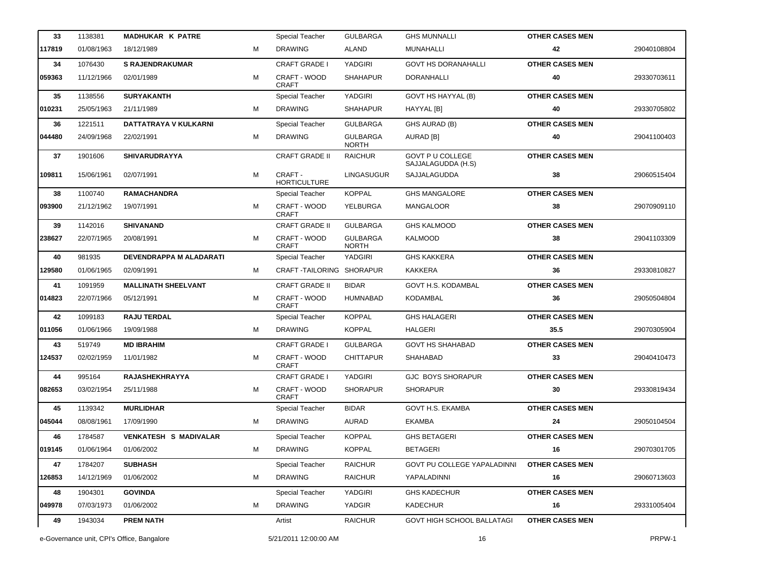| 33     | 1138381    | <b>MADHUKAR K PATRE</b>      |   | Special Teacher                | <b>GULBARGA</b>                 | <b>GHS MUNNALLI</b>                           | <b>OTHER CASES MEN</b> |             |
|--------|------------|------------------------------|---|--------------------------------|---------------------------------|-----------------------------------------------|------------------------|-------------|
| 117819 | 01/08/1963 | 18/12/1989                   | М | <b>DRAWING</b>                 | <b>ALAND</b>                    | MUNAHALLI                                     | 42                     | 29040108804 |
| 34     | 1076430    | <b>S RAJENDRAKUMAR</b>       |   | <b>CRAFT GRADE I</b>           | <b>YADGIRI</b>                  | <b>GOVT HS DORANAHALLI</b>                    | <b>OTHER CASES MEN</b> |             |
| 059363 | 11/12/1966 | 02/01/1989                   | м | CRAFT - WOOD<br><b>CRAFT</b>   | <b>SHAHAPUR</b>                 | DORANHALLI                                    | 40                     | 29330703611 |
| 35     | 1138556    | <b>SURYAKANTH</b>            |   | Special Teacher                | YADGIRI                         | GOVT HS HAYYAL (B)                            | <b>OTHER CASES MEN</b> |             |
| 010231 | 25/05/1963 | 21/11/1989                   | м | <b>DRAWING</b>                 | <b>SHAHAPUR</b>                 | HAYYAL [B]                                    | 40                     | 29330705802 |
| 36     | 1221511    | DATTATRAYA V KULKARNI        |   | Special Teacher                | <b>GULBARGA</b>                 | GHS AURAD (B)                                 | <b>OTHER CASES MEN</b> |             |
| 044480 | 24/09/1968 | 22/02/1991                   | М | <b>DRAWING</b>                 | <b>GULBARGA</b><br><b>NORTH</b> | AURAD [B]                                     | 40                     | 29041100403 |
| 37     | 1901606    | <b>SHIVARUDRAYYA</b>         |   | <b>CRAFT GRADE II</b>          | <b>RAICHUR</b>                  | <b>GOVT P U COLLEGE</b><br>SAJJALAGUDDA (H.S) | <b>OTHER CASES MEN</b> |             |
| 109811 | 15/06/1961 | 02/07/1991                   | M | CRAFT -<br><b>HORTICULTURE</b> | LINGASUGUR                      | SAJJALAGUDDA                                  | 38                     | 29060515404 |
| 38     | 1100740    | <b>RAMACHANDRA</b>           |   | <b>Special Teacher</b>         | <b>KOPPAL</b>                   | <b>GHS MANGALORE</b>                          | <b>OTHER CASES MEN</b> |             |
| 093900 | 21/12/1962 | 19/07/1991                   | M | CRAFT - WOOD<br><b>CRAFT</b>   | YELBURGA                        | <b>MANGALOOR</b>                              | 38                     | 29070909110 |
| 39     | 1142016    | <b>SHIVANAND</b>             |   | <b>CRAFT GRADE II</b>          | <b>GULBARGA</b>                 | <b>GHS KALMOOD</b>                            | <b>OTHER CASES MEN</b> |             |
| 238627 | 22/07/1965 | 20/08/1991                   | м | CRAFT - WOOD<br><b>CRAFT</b>   | <b>GULBARGA</b><br><b>NORTH</b> | <b>KALMOOD</b>                                | 38                     | 29041103309 |
| 40     | 981935     | DEVENDRAPPA M ALADARATI      |   | Special Teacher                | <b>YADGIRI</b>                  | <b>GHS KAKKERA</b>                            | <b>OTHER CASES MEN</b> |             |
| 129580 | 01/06/1965 | 02/09/1991                   | м | CRAFT-TAILORING SHORAPUR       |                                 | KAKKERA                                       | 36                     | 29330810827 |
| 41     | 1091959    | <b>MALLINATH SHEELVANT</b>   |   | <b>CRAFT GRADE II</b>          | <b>BIDAR</b>                    | GOVT H.S. KODAMBAL                            | <b>OTHER CASES MEN</b> |             |
| 014823 | 22/07/1966 | 05/12/1991                   | м | CRAFT - WOOD<br><b>CRAFT</b>   | HUMNABAD                        | KODAMBAL                                      | 36                     | 29050504804 |
| 42     | 1099183    | <b>RAJU TERDAL</b>           |   | <b>Special Teacher</b>         | <b>KOPPAL</b>                   | <b>GHS HALAGERI</b>                           | <b>OTHER CASES MEN</b> |             |
| 011056 | 01/06/1966 | 19/09/1988                   | м | <b>DRAWING</b>                 | <b>KOPPAL</b>                   | HALGERI                                       | 35.5                   | 29070305904 |
| 43     | 519749     | <b>MD IBRAHIM</b>            |   | <b>CRAFT GRADE I</b>           | <b>GULBARGA</b>                 | <b>GOVT HS SHAHABAD</b>                       | <b>OTHER CASES MEN</b> |             |
| 124537 | 02/02/1959 | 11/01/1982                   | M | CRAFT - WOOD<br><b>CRAFT</b>   | <b>CHITTAPUR</b>                | SHAHABAD                                      | 33                     | 29040410473 |
| 44     | 995164     | <b>RAJASHEKHRAYYA</b>        |   | <b>CRAFT GRADE I</b>           | <b>YADGIRI</b>                  | <b>GJC BOYS SHORAPUR</b>                      | <b>OTHER CASES MEN</b> |             |
| 082653 | 03/02/1954 | 25/11/1988                   | М | CRAFT - WOOD<br><b>CRAFT</b>   | <b>SHORAPUR</b>                 | <b>SHORAPUR</b>                               | 30                     | 29330819434 |
| 45     | 1139342    | <b>MURLIDHAR</b>             |   | Special Teacher                | <b>BIDAR</b>                    | GOVT H.S. EKAMBA                              | <b>OTHER CASES MEN</b> |             |
| 045044 | 08/08/1961 | 17/09/1990                   | м | <b>DRAWING</b>                 | AURAD                           | EKAMBA                                        | 24                     | 29050104504 |
| 46     | 1784587    | <b>VENKATESH S MADIVALAR</b> |   | <b>Special Teacher</b>         | <b>KOPPAL</b>                   | <b>GHS BETAGERI</b>                           | <b>OTHER CASES MEN</b> |             |
| 019145 | 01/06/1964 | 01/06/2002                   | м | DRAWING                        | KOPPAL                          | <b>BETAGERI</b>                               | 16                     | 29070301705 |
| 47     | 1784207    | <b>SUBHASH</b>               |   | <b>Special Teacher</b>         | <b>RAICHUR</b>                  | <b>GOVT PU COLLEGE YAPALADINNI</b>            | <b>OTHER CASES MEN</b> |             |
| 126853 | 14/12/1969 | 01/06/2002                   | М | <b>DRAWING</b>                 | <b>RAICHUR</b>                  | YAPALADINNI                                   | 16                     | 29060713603 |
| 48     | 1904301    | <b>GOVINDA</b>               |   | <b>Special Teacher</b>         | YADGIRI                         | <b>GHS KADECHUR</b>                           | <b>OTHER CASES MEN</b> |             |
| 049978 | 07/03/1973 | 01/06/2002                   | М | <b>DRAWING</b>                 | YADGIR                          | <b>KADECHUR</b>                               | 16                     | 29331005404 |
| 49     | 1943034    | <b>PREM NATH</b>             |   | Artist                         | <b>RAICHUR</b>                  | <b>GOVT HIGH SCHOOL BALLATAGI</b>             | <b>OTHER CASES MEN</b> |             |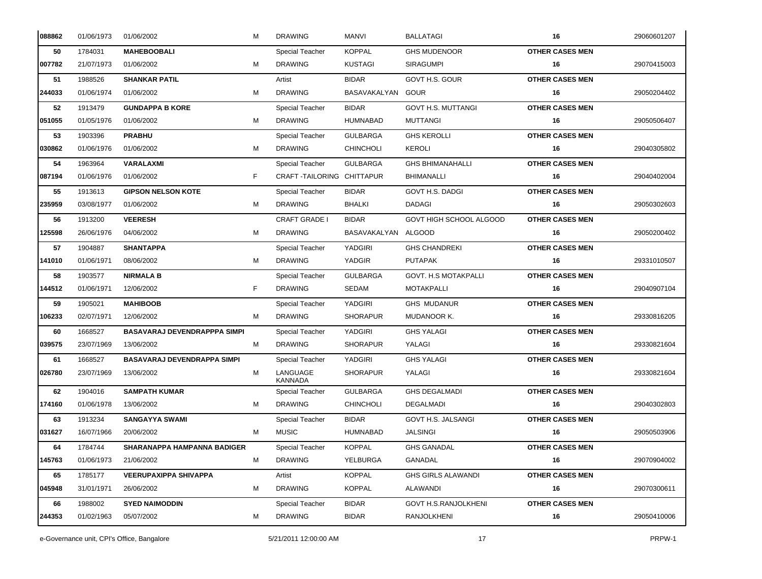| 088862 | 01/06/1973 | 01/06/2002                          | М | <b>DRAWING</b>            | MANVI               | <b>BALLATAGI</b>            | 16                     | 29060601207 |
|--------|------------|-------------------------------------|---|---------------------------|---------------------|-----------------------------|------------------------|-------------|
| 50     | 1784031    | <b>MAHEBOOBALI</b>                  |   | Special Teacher           | <b>KOPPAL</b>       | <b>GHS MUDENOOR</b>         | <b>OTHER CASES MEN</b> |             |
| 007782 | 21/07/1973 | 01/06/2002                          | м | <b>DRAWING</b>            | <b>KUSTAGI</b>      | <b>SIRAGUMPI</b>            | 16                     | 29070415003 |
| 51     | 1988526    | <b>SHANKAR PATIL</b>                |   | Artist                    | <b>BIDAR</b>        | GOVT H.S. GOUR              | <b>OTHER CASES MEN</b> |             |
| 244033 | 01/06/1974 | 01/06/2002                          | м | <b>DRAWING</b>            | BASAVAKALYAN GOUR   |                             | 16                     | 29050204402 |
| 52     | 1913479    | <b>GUNDAPPA B KORE</b>              |   | Special Teacher           | <b>BIDAR</b>        | <b>GOVT H.S. MUTTANGI</b>   | <b>OTHER CASES MEN</b> |             |
| 051055 | 01/05/1976 | 01/06/2002                          | м | <b>DRAWING</b>            | <b>HUMNABAD</b>     | <b>MUTTANGI</b>             | 16                     | 29050506407 |
| 53     | 1903396    | <b>PRABHU</b>                       |   | Special Teacher           | <b>GULBARGA</b>     | <b>GHS KEROLLI</b>          | <b>OTHER CASES MEN</b> |             |
| 030862 | 01/06/1976 | 01/06/2002                          | м | <b>DRAWING</b>            | <b>CHINCHOLI</b>    | KEROLI                      | 16                     | 29040305802 |
| 54     | 1963964    | VARALAXMI                           |   | <b>Special Teacher</b>    | <b>GULBARGA</b>     | <b>GHS BHIMANAHALLI</b>     | <b>OTHER CASES MEN</b> |             |
| 087194 | 01/06/1976 | 01/06/2002                          | F | CRAFT-TAILORING CHITTAPUR |                     | <b>BHIMANALLI</b>           | 16                     | 29040402004 |
| 55     | 1913613    | <b>GIPSON NELSON KOTE</b>           |   | Special Teacher           | <b>BIDAR</b>        | <b>GOVT H.S. DADGI</b>      | <b>OTHER CASES MEN</b> |             |
| 235959 | 03/08/1977 | 01/06/2002                          | м | <b>DRAWING</b>            | <b>BHALKI</b>       | <b>DADAGI</b>               | 16                     | 29050302603 |
| 56     | 1913200    | <b>VEERESH</b>                      |   | <b>CRAFT GRADE I</b>      | <b>BIDAR</b>        | GOVT HIGH SCHOOL ALGOOD     | <b>OTHER CASES MEN</b> |             |
| 125598 | 26/06/1976 | 04/06/2002                          | м | <b>DRAWING</b>            | BASAVAKALYAN ALGOOD |                             | 16                     | 29050200402 |
| 57     | 1904887    | <b>SHANTAPPA</b>                    |   | Special Teacher           | YADGIRI             | <b>GHS CHANDREKI</b>        | <b>OTHER CASES MEN</b> |             |
| 141010 | 01/06/1971 | 08/06/2002                          | м | <b>DRAWING</b>            | YADGIR              | <b>PUTAPAK</b>              | 16                     | 29331010507 |
| 58     | 1903577    | <b>NIRMALA B</b>                    |   | Special Teacher           | <b>GULBARGA</b>     | <b>GOVT. H.S MOTAKPALLI</b> | <b>OTHER CASES MEN</b> |             |
| 144512 | 01/06/1971 | 12/06/2002                          | F | <b>DRAWING</b>            | <b>SEDAM</b>        | <b>MOTAKPALLI</b>           | 16                     | 29040907104 |
| 59     | 1905021    | <b>MAHIBOOB</b>                     |   | Special Teacher           | YADGIRI             | <b>GHS MUDANUR</b>          | <b>OTHER CASES MEN</b> |             |
| 106233 | 02/07/1971 | 12/06/2002                          | м | <b>DRAWING</b>            | <b>SHORAPUR</b>     | MUDANOOR K.                 | 16                     | 29330816205 |
| 60     | 1668527    | <b>BASAVARAJ DEVENDRAPPPA SIMPI</b> |   | Special Teacher           | YADGIRI             | <b>GHS YALAGI</b>           | <b>OTHER CASES MEN</b> |             |
| 039575 | 23/07/1969 | 13/06/2002                          | м | <b>DRAWING</b>            | <b>SHORAPUR</b>     | YALAGI                      | 16                     | 29330821604 |
| 61     | 1668527    | <b>BASAVARAJ DEVENDRAPPA SIMPI</b>  |   | Special Teacher           | YADGIRI             | <b>GHS YALAGI</b>           | <b>OTHER CASES MEN</b> |             |
| 026780 | 23/07/1969 | 13/06/2002                          | м | LANGUAGE<br>KANNADA       | <b>SHORAPUR</b>     | YALAGI                      | 16                     | 29330821604 |
| 62     | 1904016    | <b>SAMPATH KUMAR</b>                |   | Special Teacher           | <b>GULBARGA</b>     | <b>GHS DEGALMADI</b>        | <b>OTHER CASES MEN</b> |             |
| 174160 | 01/06/1978 | 13/06/2002                          | м | <b>DRAWING</b>            | <b>CHINCHOLI</b>    | <b>DEGALMADI</b>            | 16                     | 29040302803 |
| 63     | 1913234    | <b>SANGAYYA SWAMI</b>               |   | <b>Special Teacher</b>    | <b>BIDAR</b>        | GOVT H.S. JALSANGI          | <b>OTHER CASES MEN</b> |             |
| 031627 | 16/07/1966 | 20/06/2002                          | м | <b>MUSIC</b>              | <b>HUMNABAD</b>     | JALSINGI                    | 16                     | 29050503906 |
| 64     | 1784744    | SHARANAPPA HAMPANNA BADIGER         |   | Special Teacher           | <b>KOPPAL</b>       | <b>GHS GANADAL</b>          | <b>OTHER CASES MEN</b> |             |
| 145763 | 01/06/1973 | 21/06/2002                          | м | <b>DRAWING</b>            | YELBURGA            | GANADAL                     | 16                     | 29070904002 |
| 65     | 1785177    | <b>VEERUPAXIPPA SHIVAPPA</b>        |   | Artist                    | <b>KOPPAL</b>       | <b>GHS GIRLS ALAWANDI</b>   | <b>OTHER CASES MEN</b> |             |
| 045948 | 31/01/1971 | 26/06/2002                          | м | <b>DRAWING</b>            | <b>KOPPAL</b>       | ALAWANDI                    | 16                     | 29070300611 |
| 66     | 1988002    | <b>SYED NAIMODDIN</b>               |   | Special Teacher           | <b>BIDAR</b>        | <b>GOVT H.S.RANJOLKHENI</b> | <b>OTHER CASES MEN</b> |             |
| 244353 | 01/02/1963 | 05/07/2002                          | м | <b>DRAWING</b>            | <b>BIDAR</b>        | RANJOLKHENI                 | 16                     | 29050410006 |